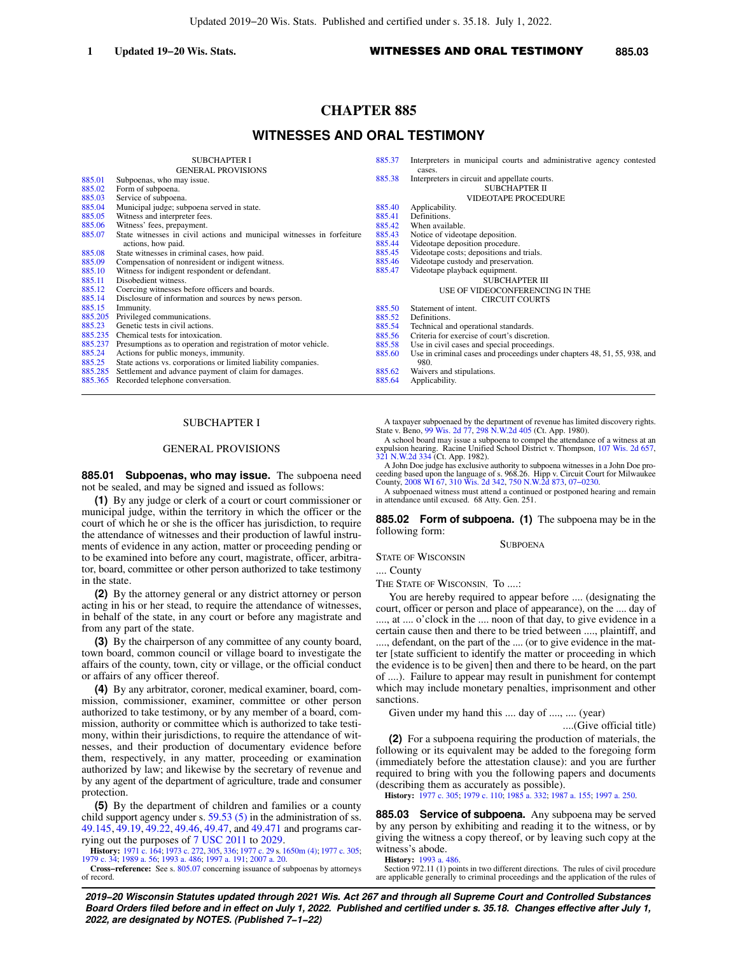# **CHAPTER 885**

# **WITNESSES AND ORAL TESTIMONY**

|         | <b>SUBCHAPTER I</b>                                                    | 885.37 |
|---------|------------------------------------------------------------------------|--------|
|         | <b>GENERAL PROVISIONS</b>                                              |        |
| 885.01  | Subpoenas, who may issue.                                              | 885.38 |
| 885.02  | Form of subpoena.                                                      |        |
| 885.03  | Service of subpoena.                                                   |        |
| 885.04  | Municipal judge; subpoena served in state.                             | 885.40 |
| 885.05  | Witness and interpreter fees.                                          | 885.41 |
| 885.06  | Witness' fees, prepayment.                                             | 885.42 |
| 885.07  | State witnesses in civil actions and municipal witnesses in forfeiture | 885.43 |
|         | actions, how paid.                                                     | 885.44 |
| 885.08  | State witnesses in criminal cases, how paid.                           | 885.45 |
| 885.09  | Compensation of nonresident or indigent witness.                       | 885.46 |
| 885.10  | Witness for indigent respondent or defendant.                          | 885.47 |
| 885.11  | Disobedient witness.                                                   |        |
| 885.12  | Coercing witnesses before officers and boards.                         |        |
| 885.14  | Disclosure of information and sources by news person.                  |        |
| 885.15  | Immunity.                                                              | 885.50 |
| 885.205 | Privileged communications.                                             | 885.52 |
| 885.23  | Genetic tests in civil actions.                                        | 885.54 |
| 885.235 | Chemical tests for intoxication.                                       | 885.56 |
| 885.237 | Presumptions as to operation and registration of motor vehicle.        | 885.58 |
| 885.24  | Actions for public moneys, immunity.                                   | 885.60 |
| 885.25  | State actions vs. corporations or limited liability companies.         |        |
| 885.285 | Settlement and advance payment of claim for damages.                   | 885.62 |
| 885.365 | Recorded telephone conversation.                                       | 885.64 |

### SUBCHAPTER I

### GENERAL PROVISIONS

**885.01 Subpoenas, who may issue.** The subpoena need not be sealed, and may be signed and issued as follows:

**(1)** By any judge or clerk of a court or court commissioner or municipal judge, within the territory in which the officer or the court of which he or she is the officer has jurisdiction, to require the attendance of witnesses and their production of lawful instruments of evidence in any action, matter or proceeding pending or to be examined into before any court, magistrate, officer, arbitrator, board, committee or other person authorized to take testimony in the state.

**(2)** By the attorney general or any district attorney or person acting in his or her stead, to require the attendance of witnesses, in behalf of the state, in any court or before any magistrate and from any part of the state.

**(3)** By the chairperson of any committee of any county board, town board, common council or village board to investigate the affairs of the county, town, city or village, or the official conduct or affairs of any officer thereof.

**(4)** By any arbitrator, coroner, medical examiner, board, commission, commissioner, examiner, committee or other person authorized to take testimony, or by any member of a board, commission, authority or committee which is authorized to take testimony, within their jurisdictions, to require the attendance of witnesses, and their production of documentary evidence before them, respectively, in any matter, proceeding or examination authorized by law; and likewise by the secretary of revenue and by any agent of the department of agriculture, trade and consumer protection.

**(5)** By the department of children and families or a county child support agency under s. [59.53 \(5\)](https://docs.legis.wisconsin.gov/document/statutes/59.53(5)) in the administration of ss. [49.145,](https://docs.legis.wisconsin.gov/document/statutes/49.145) [49.19](https://docs.legis.wisconsin.gov/document/statutes/49.19), [49.22](https://docs.legis.wisconsin.gov/document/statutes/49.22), [49.46,](https://docs.legis.wisconsin.gov/document/statutes/49.46) [49.47](https://docs.legis.wisconsin.gov/document/statutes/49.47), and [49.471](https://docs.legis.wisconsin.gov/document/statutes/49.471) and programs carrying out the purposes of [7 USC 2011](https://docs.legis.wisconsin.gov/document/usc/7%20USC%202011) to [2029.](https://docs.legis.wisconsin.gov/document/usc/7%20USC%202029)

**History:** [1971 c. 164](https://docs.legis.wisconsin.gov/document/acts/1971/164); [1973 c. 272](https://docs.legis.wisconsin.gov/document/acts/1973/272), [305,](https://docs.legis.wisconsin.gov/document/acts/1973/305) [336](https://docs.legis.wisconsin.gov/document/acts/1973/336); [1977 c. 29](https://docs.legis.wisconsin.gov/document/acts/1977/29) s. [1650m \(4\)](https://docs.legis.wisconsin.gov/document/acts/1977/29,%20s.%201650m); [1977 c. 305](https://docs.legis.wisconsin.gov/document/acts/1977/305); [1979 c. 34](https://docs.legis.wisconsin.gov/document/acts/1979/34); [1989 a. 56](https://docs.legis.wisconsin.gov/document/acts/1989/56); [1993 a. 486](https://docs.legis.wisconsin.gov/document/acts/1993/486); [1997 a. 191;](https://docs.legis.wisconsin.gov/document/acts/1997/191) [2007 a. 20.](https://docs.legis.wisconsin.gov/document/acts/2007/20)

**Cross−reference:** See s. [805.07](https://docs.legis.wisconsin.gov/document/statutes/805.07) concerning issuance of subpoenas by attorneys of record.

| 885.37 | Interpreters in municipal courts and administrative agency contested      |
|--------|---------------------------------------------------------------------------|
|        | cases.                                                                    |
| 885.38 | Interpreters in circuit and appellate courts.                             |
|        | <b>SUBCHAPTER II</b>                                                      |
|        | VIDEOTAPE PROCEDURE                                                       |
| 885.40 | Applicability.                                                            |
| 885.41 | Definitions.                                                              |
| 885.42 | When available.                                                           |
| 885.43 | Notice of videotape deposition.                                           |
| 885.44 | Videotape deposition procedure.                                           |
| 885.45 | Videotape costs; depositions and trials.                                  |
| 885.46 | Videotape custody and preservation.                                       |
| 885.47 | Videotape playback equipment.                                             |
|        | <b>SUBCHAPTER III</b>                                                     |
|        | USE OF VIDEOCONFERENCING IN THE                                           |
|        | <b>CIRCUIT COURTS</b>                                                     |
| 885.50 | Statement of intent.                                                      |
| 885.52 | Definitions.                                                              |
| 885.54 | Technical and operational standards.                                      |
| 885.56 | Criteria for exercise of court's discretion.                              |
| 885.58 | Use in civil cases and special proceedings.                               |
| 885.60 | Use in criminal cases and proceedings under chapters 48, 51, 55, 938, and |
|        | 980.                                                                      |
| 885.62 | Waivers and stipulations.                                                 |
| 885.64 | Applicability.                                                            |
|        |                                                                           |

A taxpayer subpoenaed by the department of revenue has limited discovery rights. State v. Beno, [99 Wis. 2d 77,](https://docs.legis.wisconsin.gov/document/courts/99%20Wis.%202d%2077) [298 N.W.2d 405](https://docs.legis.wisconsin.gov/document/courts/298%20N.W.2d%20405) (Ct. App. 1980).

A school board may issue a subpoena to compel the attendance of a witness at an expulsion hearing. Racine Unified School District v. Thompson, [107 Wis. 2d 657](https://docs.legis.wisconsin.gov/document/courts/107%20Wis.%202d%20657), [321 N.W.2d 334](https://docs.legis.wisconsin.gov/document/courts/321%20N.W.2d%20334) (Ct. App. 1982).

A John Doe judge has exclusive authority to subpoena witnesses in a John Doe proceeding based upon the language of s. 968.26. Hipp v. Circuit Court for Milwaukee County, [2008 WI 67](https://docs.legis.wisconsin.gov/document/courts/2008%20WI%2067), [310 Wis. 2d 342,](https://docs.legis.wisconsin.gov/document/courts/310%20Wis.%202d%20342) [750 N.W.2d 873](https://docs.legis.wisconsin.gov/document/courts/750%20N.W.2d%20873), [07−0230.](https://docs.legis.wisconsin.gov/document/wisupremecourt/07-0230)

A subpoenaed witness must attend a continued or postponed hearing and remain in attendance until excused. 68 Atty. Gen. 251.

**885.02 Form of subpoena. (1)** The subpoena may be in the following form:

**SUBPOENA** 

STATE OF WISCONSIN

.... County

THE STATE OF WISCONSIN, To ....:

You are hereby required to appear before .... (designating the court, officer or person and place of appearance), on the .... day of ...., at .... o'clock in the .... noon of that day, to give evidence in a certain cause then and there to be tried between ...., plaintiff, and ...., defendant, on the part of the .... (or to give evidence in the matter [state sufficient to identify the matter or proceeding in which the evidence is to be given] then and there to be heard, on the part of ....). Failure to appear may result in punishment for contempt which may include monetary penalties, imprisonment and other sanctions.

Given under my hand this .... day of ...., .... (year)

....(Give official title)

**(2)** For a subpoena requiring the production of materials, the following or its equivalent may be added to the foregoing form (immediately before the attestation clause): and you are further required to bring with you the following papers and documents (describing them as accurately as possible).

**History:** [1977 c. 305;](https://docs.legis.wisconsin.gov/document/acts/1977/305) [1979 c. 110;](https://docs.legis.wisconsin.gov/document/acts/1979/110) [1985 a. 332;](https://docs.legis.wisconsin.gov/document/acts/1985/332) [1987 a. 155](https://docs.legis.wisconsin.gov/document/acts/1987/155); [1997 a. 250](https://docs.legis.wisconsin.gov/document/acts/1997/250).

**885.03 Service of subpoena.** Any subpoena may be served by any person by exhibiting and reading it to the witness, or by giving the witness a copy thereof, or by leaving such copy at the witness's abode.

**History:** [1993 a. 486.](https://docs.legis.wisconsin.gov/document/acts/1993/486)

Section 972.11 (1) points in two different directions. The rules of civil procedure are applicable generally to criminal proceedings and the application of the rules of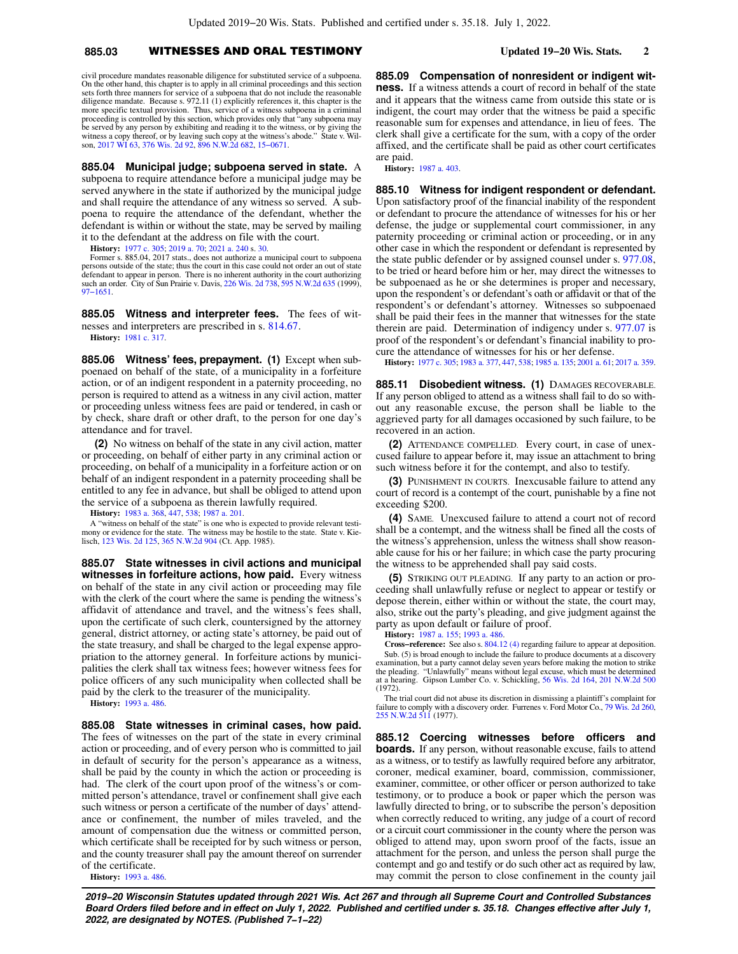# **885.03** WITNESSES AND ORAL TESTIMONY **Updated 19−20 Wis. Stats. 2**

civil procedure mandates reasonable diligence for substituted service of a subpoena. On the other hand, this chapter is to apply in all criminal proceedings and this section sets forth three manners for service of a subpoena that do not include the reasonable diligence mandate. Because s. 972.11 (1) explicitly references it, this chapter is the more specific textual provision. Thus, service of a witness subpoena in a criminal proceeding is controlled by this section, which provides only that "any subpoena may be served by any person by exhibiting and reading it to the witness, or by giving the witness a copy thereof, or by leaving such copy at the witness's abode." State v. Wilson, [2017 WI 63,](https://docs.legis.wisconsin.gov/document/courts/2017%20WI%2063) [376 Wis. 2d 92,](https://docs.legis.wisconsin.gov/document/courts/376%20Wis.%202d%2092) [896 N.W.2d 682](https://docs.legis.wisconsin.gov/document/courts/896%20N.W.2d%20682), [15−0671](https://docs.legis.wisconsin.gov/document/wisupremecourt/15-0671).

**885.04 Municipal judge; subpoena served in state.** A subpoena to require attendance before a municipal judge may be served anywhere in the state if authorized by the municipal judge and shall require the attendance of any witness so served. A subpoena to require the attendance of the defendant, whether the defendant is within or without the state, may be served by mailing it to the defendant at the address on file with the court.

**History:** [1977 c. 305](https://docs.legis.wisconsin.gov/document/acts/1977/305); [2019 a. 70;](https://docs.legis.wisconsin.gov/document/acts/2019/70) [2021 a. 240](https://docs.legis.wisconsin.gov/document/acts/2021/240) s. [30](https://docs.legis.wisconsin.gov/document/acts/2021/240,%20s.%2030).

Former s. 885.04, 2017 stats., does not authorize a municipal court to subpoena persons outside of the state; thus the court in this case could not order an out of state<br>defendant to appear in person. There is no inherent authority in the court authorizing<br>such an order. City of Sun Prairie v. Davis,

**885.05 Witness and interpreter fees.** The fees of witnesses and interpreters are prescribed in s. [814.67.](https://docs.legis.wisconsin.gov/document/statutes/814.67) **History:** [1981 c. 317](https://docs.legis.wisconsin.gov/document/acts/1981/317).

**885.06 Witness' fees, prepayment. (1)** Except when subpoenaed on behalf of the state, of a municipality in a forfeiture action, or of an indigent respondent in a paternity proceeding, no person is required to attend as a witness in any civil action, matter or proceeding unless witness fees are paid or tendered, in cash or by check, share draft or other draft, to the person for one day's attendance and for travel.

**(2)** No witness on behalf of the state in any civil action, matter or proceeding, on behalf of either party in any criminal action or proceeding, on behalf of a municipality in a forfeiture action or on behalf of an indigent respondent in a paternity proceeding shall be entitled to any fee in advance, but shall be obliged to attend upon the service of a subpoena as therein lawfully required.

**History:** [1983 a. 368](https://docs.legis.wisconsin.gov/document/acts/1983/368), [447](https://docs.legis.wisconsin.gov/document/acts/1983/447), [538](https://docs.legis.wisconsin.gov/document/acts/1983/538); [1987 a. 201](https://docs.legis.wisconsin.gov/document/acts/1987/201).

A "witness on behalf of the state" is one who is expected to provide relevant testi-mony or evidence for the state. The witness may be hostile to the state. State v. Kielisch, [123 Wis. 2d 125,](https://docs.legis.wisconsin.gov/document/courts/123%20Wis.%202d%20125) [365 N.W.2d 904](https://docs.legis.wisconsin.gov/document/courts/365%20N.W.2d%20904) (Ct. App. 1985).

**885.07 State witnesses in civil actions and municipal witnesses in forfeiture actions, how paid.** Every witness on behalf of the state in any civil action or proceeding may file with the clerk of the court where the same is pending the witness's affidavit of attendance and travel, and the witness's fees shall, upon the certificate of such clerk, countersigned by the attorney general, district attorney, or acting state's attorney, be paid out of the state treasury, and shall be charged to the legal expense appropriation to the attorney general. In forfeiture actions by municipalities the clerk shall tax witness fees; however witness fees for police officers of any such municipality when collected shall be paid by the clerk to the treasurer of the municipality.

**History:** [1993 a. 486](https://docs.legis.wisconsin.gov/document/acts/1993/486).

**885.08 State witnesses in criminal cases, how paid.** The fees of witnesses on the part of the state in every criminal action or proceeding, and of every person who is committed to jail in default of security for the person's appearance as a witness, shall be paid by the county in which the action or proceeding is had. The clerk of the court upon proof of the witness's or committed person's attendance, travel or confinement shall give each such witness or person a certificate of the number of days' attendance or confinement, the number of miles traveled, and the amount of compensation due the witness or committed person, which certificate shall be receipted for by such witness or person, and the county treasurer shall pay the amount thereof on surrender of the certificate.

**History:** [1993 a. 486](https://docs.legis.wisconsin.gov/document/acts/1993/486).

**885.09 Compensation of nonresident or indigent witness.** If a witness attends a court of record in behalf of the state and it appears that the witness came from outside this state or is indigent, the court may order that the witness be paid a specific reasonable sum for expenses and attendance, in lieu of fees. The clerk shall give a certificate for the sum, with a copy of the order affixed, and the certificate shall be paid as other court certificates are paid.

**History:** [1987 a. 403.](https://docs.legis.wisconsin.gov/document/acts/1987/403)

**885.10 Witness for indigent respondent or defendant.** Upon satisfactory proof of the financial inability of the respondent or defendant to procure the attendance of witnesses for his or her defense, the judge or supplemental court commissioner, in any paternity proceeding or criminal action or proceeding, or in any other case in which the respondent or defendant is represented by the state public defender or by assigned counsel under s. [977.08,](https://docs.legis.wisconsin.gov/document/statutes/977.08) to be tried or heard before him or her, may direct the witnesses to be subpoenaed as he or she determines is proper and necessary, upon the respondent's or defendant's oath or affidavit or that of the respondent's or defendant's attorney. Witnesses so subpoenaed shall be paid their fees in the manner that witnesses for the state therein are paid. Determination of indigency under s. [977.07](https://docs.legis.wisconsin.gov/document/statutes/977.07) is proof of the respondent's or defendant's financial inability to procure the attendance of witnesses for his or her defense.

**History:** [1977 c. 305;](https://docs.legis.wisconsin.gov/document/acts/1977/305) [1983 a. 377,](https://docs.legis.wisconsin.gov/document/acts/1983/377) [447](https://docs.legis.wisconsin.gov/document/acts/1983/447), [538;](https://docs.legis.wisconsin.gov/document/acts/1983/538) [1985 a. 135;](https://docs.legis.wisconsin.gov/document/acts/1985/135) [2001 a. 61](https://docs.legis.wisconsin.gov/document/acts/2001/61); [2017 a. 359](https://docs.legis.wisconsin.gov/document/acts/2017/359).

**885.11 Disobedient witness. (1)** DAMAGES RECOVERABLE. If any person obliged to attend as a witness shall fail to do so without any reasonable excuse, the person shall be liable to the aggrieved party for all damages occasioned by such failure, to be recovered in an action.

**(2)** ATTENDANCE COMPELLED. Every court, in case of unexcused failure to appear before it, may issue an attachment to bring such witness before it for the contempt, and also to testify.

**(3)** PUNISHMENT IN COURTS. Inexcusable failure to attend any court of record is a contempt of the court, punishable by a fine not exceeding \$200.

**(4)** SAME. Unexcused failure to attend a court not of record shall be a contempt, and the witness shall be fined all the costs of the witness's apprehension, unless the witness shall show reasonable cause for his or her failure; in which case the party procuring the witness to be apprehended shall pay said costs.

**(5)** STRIKING OUT PLEADING. If any party to an action or proceeding shall unlawfully refuse or neglect to appear or testify or depose therein, either within or without the state, the court may, also, strike out the party's pleading, and give judgment against the party as upon default or failure of proof.

**History:** [1987 a. 155;](https://docs.legis.wisconsin.gov/document/acts/1987/155) [1993 a. 486](https://docs.legis.wisconsin.gov/document/acts/1993/486).

**Cross−reference:** See also s. [804.12 \(4\)](https://docs.legis.wisconsin.gov/document/statutes/804.12(4)) regarding failure to appear at deposition. Sub. (5) is broad enough to include the failure to produce documents at a discovery examination, but a party cannot delay seven years before making the motion to strike the pleading. "Unlawfully" means without legal excuse, which must be determined at a hearing. Gipson Lumber Co. v. Schickling, [56 Wis. 2d 164,](https://docs.legis.wisconsin.gov/document/courts/56%20Wis.%202d%20164) [201 N.W.2d 500](https://docs.legis.wisconsin.gov/document/courts/201%20N.W.2d%20500) (1972).

The trial court did not abuse its discretion in dismissing a plaintiff's complaint for failure to comply with a discovery order. Furrenes v. Ford Motor Co., [79 Wis. 2d 260](https://docs.legis.wisconsin.gov/document/courts/79%20Wis.%202d%20260), [255 N.W.2d 511](https://docs.legis.wisconsin.gov/document/courts/255%20N.W.2d%20511) (1977).

**885.12 Coercing witnesses before officers and boards.** If any person, without reasonable excuse, fails to attend as a witness, or to testify as lawfully required before any arbitrator, coroner, medical examiner, board, commission, commissioner, examiner, committee, or other officer or person authorized to take testimony, or to produce a book or paper which the person was lawfully directed to bring, or to subscribe the person's deposition when correctly reduced to writing, any judge of a court of record or a circuit court commissioner in the county where the person was obliged to attend may, upon sworn proof of the facts, issue an attachment for the person, and unless the person shall purge the contempt and go and testify or do such other act as required by law, may commit the person to close confinement in the county jail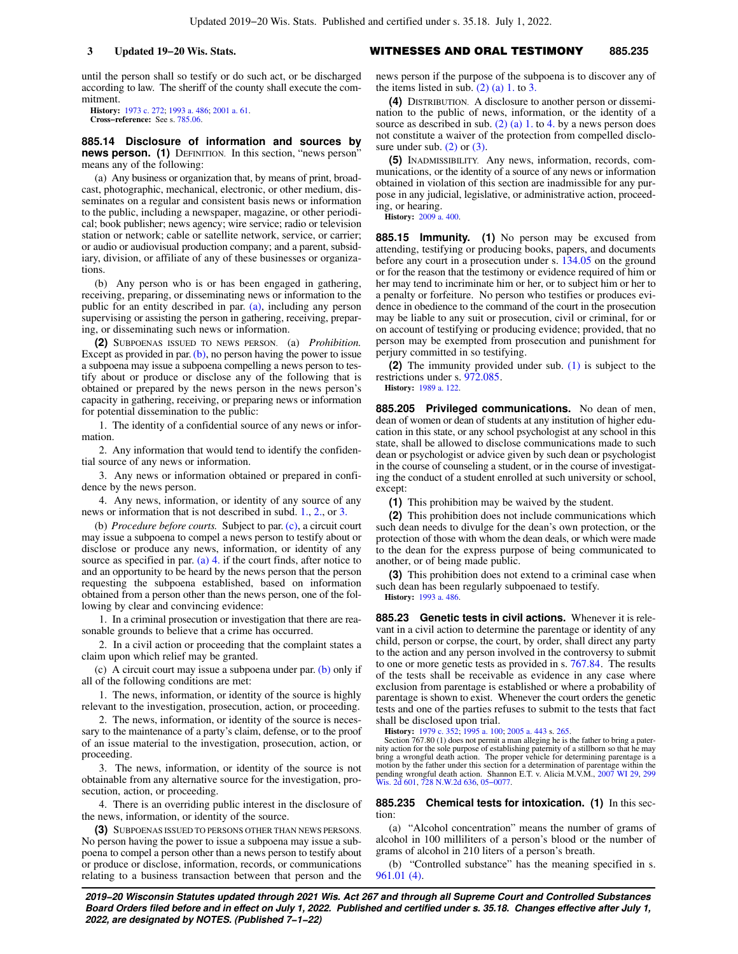until the person shall so testify or do such act, or be discharged according to law. The sheriff of the county shall execute the commitment.

**History:** [1973 c. 272](https://docs.legis.wisconsin.gov/document/acts/1973/272); [1993 a. 486](https://docs.legis.wisconsin.gov/document/acts/1993/486); [2001 a. 61](https://docs.legis.wisconsin.gov/document/acts/2001/61). **Cross−reference:** See s. [785.06.](https://docs.legis.wisconsin.gov/document/statutes/785.06)

**885.14 Disclosure of information and sources by news person.** (1) DEFINITION. In this section, "news person" means any of the following:

(a) Any business or organization that, by means of print, broadcast, photographic, mechanical, electronic, or other medium, disseminates on a regular and consistent basis news or information to the public, including a newspaper, magazine, or other periodical; book publisher; news agency; wire service; radio or television station or network; cable or satellite network, service, or carrier; or audio or audiovisual production company; and a parent, subsidiary, division, or affiliate of any of these businesses or organizations.

(b) Any person who is or has been engaged in gathering, receiving, preparing, or disseminating news or information to the public for an entity described in par. [\(a\),](https://docs.legis.wisconsin.gov/document/statutes/885.14(1)(a)) including any person supervising or assisting the person in gathering, receiving, preparing, or disseminating such news or information.

**(2)** SUBPOENAS ISSUED TO NEWS PERSON. (a) *Prohibition.* Except as provided in par.  $(b)$ , no person having the power to issue a subpoena may issue a subpoena compelling a news person to testify about or produce or disclose any of the following that is obtained or prepared by the news person in the news person's capacity in gathering, receiving, or preparing news or information for potential dissemination to the public:

1. The identity of a confidential source of any news or information.

2. Any information that would tend to identify the confidential source of any news or information.

3. Any news or information obtained or prepared in confidence by the news person.

4. Any news, information, or identity of any source of any news or information that is not described in subd. [1.](https://docs.legis.wisconsin.gov/document/statutes/885.14(2)(a)1.), [2.](https://docs.legis.wisconsin.gov/document/statutes/885.14(2)(a)2.), or [3.](https://docs.legis.wisconsin.gov/document/statutes/885.14(2)(a)3.)

(b) *Procedure before courts.* Subject to par. [\(c\)](https://docs.legis.wisconsin.gov/document/statutes/885.14(2)(c)), a circuit court may issue a subpoena to compel a news person to testify about or disclose or produce any news, information, or identity of any source as specified in par. [\(a\) 4.](https://docs.legis.wisconsin.gov/document/statutes/885.14(2)(a)4.) if the court finds, after notice to and an opportunity to be heard by the news person that the person requesting the subpoena established, based on information obtained from a person other than the news person, one of the following by clear and convincing evidence:

1. In a criminal prosecution or investigation that there are reasonable grounds to believe that a crime has occurred.

2. In a civil action or proceeding that the complaint states a claim upon which relief may be granted.

(c) A circuit court may issue a subpoena under par.  $(b)$  only if all of the following conditions are met:

1. The news, information, or identity of the source is highly relevant to the investigation, prosecution, action, or proceeding.

2. The news, information, or identity of the source is necessary to the maintenance of a party's claim, defense, or to the proof of an issue material to the investigation, prosecution, action, or proceeding.

3. The news, information, or identity of the source is not obtainable from any alternative source for the investigation, prosecution, action, or proceeding.

4. There is an overriding public interest in the disclosure of the news, information, or identity of the source.

**(3)** SUBPOENAS ISSUED TO PERSONS OTHER THAN NEWS PERSONS. No person having the power to issue a subpoena may issue a subpoena to compel a person other than a news person to testify about or produce or disclose, information, records, or communications relating to a business transaction between that person and the

## **3 Updated 19−20 Wis. Stats.** WITNESSES AND ORAL TESTIMONY **885.235**

news person if the purpose of the subpoena is to discover any of the items listed in sub.  $(2)$  (a) 1. to [3.](https://docs.legis.wisconsin.gov/document/statutes/885.14(2)(a)3.)

**(4)** DISTRIBUTION. A disclosure to another person or dissemination to the public of news, information, or the identity of a source as described in sub.  $(2)$  (a) 1. to [4.](https://docs.legis.wisconsin.gov/document/statutes/885.14(2)(a)4.) by a news person does not constitute a waiver of the protection from compelled disclosure under sub.  $(2)$  or  $(3)$ .

**(5)** INADMISSIBILITY. Any news, information, records, communications, or the identity of a source of any news or information obtained in violation of this section are inadmissible for any purpose in any judicial, legislative, or administrative action, proceeding, or hearing.

**History:** [2009 a. 400.](https://docs.legis.wisconsin.gov/document/acts/2009/400)

**885.15 Immunity. (1)** No person may be excused from attending, testifying or producing books, papers, and documents before any court in a prosecution under s. [134.05](https://docs.legis.wisconsin.gov/document/statutes/134.05) on the ground or for the reason that the testimony or evidence required of him or her may tend to incriminate him or her, or to subject him or her to a penalty or forfeiture. No person who testifies or produces evidence in obedience to the command of the court in the prosecution may be liable to any suit or prosecution, civil or criminal, for or on account of testifying or producing evidence; provided, that no person may be exempted from prosecution and punishment for perjury committed in so testifying.

**(2)** The immunity provided under sub. [\(1\)](https://docs.legis.wisconsin.gov/document/statutes/885.15(1)) is subject to the restrictions under s. [972.085.](https://docs.legis.wisconsin.gov/document/statutes/972.085)

**History:** [1989 a. 122.](https://docs.legis.wisconsin.gov/document/acts/1989/122)

**885.205 Privileged communications.** No dean of men, dean of women or dean of students at any institution of higher education in this state, or any school psychologist at any school in this state, shall be allowed to disclose communications made to such dean or psychologist or advice given by such dean or psychologist in the course of counseling a student, or in the course of investigating the conduct of a student enrolled at such university or school, except:

**(1)** This prohibition may be waived by the student.

**(2)** This prohibition does not include communications which such dean needs to divulge for the dean's own protection, or the protection of those with whom the dean deals, or which were made to the dean for the express purpose of being communicated to another, or of being made public.

**(3)** This prohibition does not extend to a criminal case when such dean has been regularly subpoenaed to testify. **History:** [1993 a. 486.](https://docs.legis.wisconsin.gov/document/acts/1993/486)

**885.23 Genetic tests in civil actions.** Whenever it is relevant in a civil action to determine the parentage or identity of any child, person or corpse, the court, by order, shall direct any party to the action and any person involved in the controversy to submit to one or more genetic tests as provided in s. [767.84](https://docs.legis.wisconsin.gov/document/statutes/767.84). The results of the tests shall be receivable as evidence in any case where exclusion from parentage is established or where a probability of parentage is shown to exist. Whenever the court orders the genetic tests and one of the parties refuses to submit to the tests that fact shall be disclosed upon trial.

**History:** [1979 c. 352;](https://docs.legis.wisconsin.gov/document/acts/1979/352) [1995 a. 100](https://docs.legis.wisconsin.gov/document/acts/1995/100); [2005 a. 443](https://docs.legis.wisconsin.gov/document/acts/2005/443) s. [265](https://docs.legis.wisconsin.gov/document/acts/2005/443,%20s.%20265).

Section 767.80 (1) does not permit a man alleging he is the father to bring a paternity action for the sole purpose of establishing paternity of a stillborn so that he may bring a wrongful death action. The proper vehicle for determining parentage is a motion by the father under this section for a determination of parentage within the pending wrongful death action. Shannon E.T. v. Alicia M.V.M., [2007 WI 29,](https://docs.legis.wisconsin.gov/document/courts/2007%20WI%2029) [299](https://docs.legis.wisconsin.gov/document/courts/299%20Wis.%202d%20601) [Wis. 2d 601,](https://docs.legis.wisconsin.gov/document/courts/299%20Wis.%202d%20601) [728 N.W.2d 636](https://docs.legis.wisconsin.gov/document/courts/728%20N.W.2d%20636), [05−0077.](https://docs.legis.wisconsin.gov/document/wisupremecourt/05-0077)

**885.235 Chemical tests for intoxication. (1)** In this section:

(a) "Alcohol concentration" means the number of grams of alcohol in 100 milliliters of a person's blood or the number of grams of alcohol in 210 liters of a person's breath.

(b) "Controlled substance" has the meaning specified in s. [961.01 \(4\).](https://docs.legis.wisconsin.gov/document/statutes/961.01(4))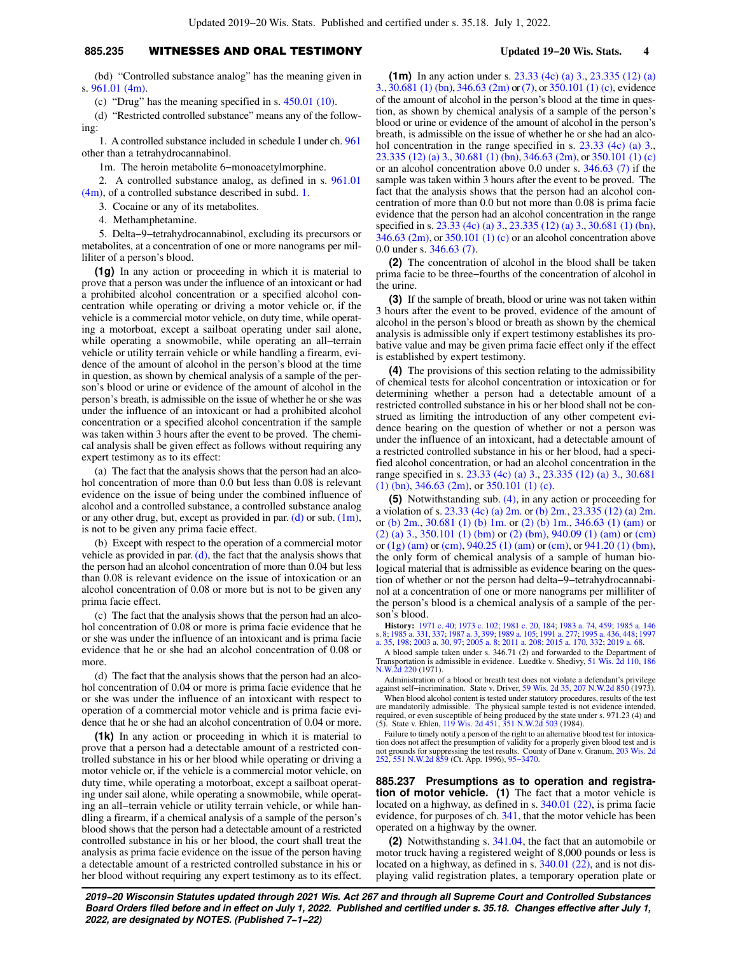# **885.235** WITNESSES AND ORAL TESTIMONY **Updated 19−20 Wis. Stats. 4**

(bd) "Controlled substance analog" has the meaning given in s. [961.01 \(4m\).](https://docs.legis.wisconsin.gov/document/statutes/961.01(4m))

(c) "Drug" has the meaning specified in s. [450.01 \(10\).](https://docs.legis.wisconsin.gov/document/statutes/450.01(10))

(d) "Restricted controlled substance" means any of the following:

1. A controlled substance included in schedule I under ch. [961](https://docs.legis.wisconsin.gov/document/statutes/ch.%20961) other than a tetrahydrocannabinol.

1m. The heroin metabolite 6−monoacetylmorphine.

2. A controlled substance analog, as defined in s. [961.01](https://docs.legis.wisconsin.gov/document/statutes/961.01(4m)) [\(4m\)](https://docs.legis.wisconsin.gov/document/statutes/961.01(4m)), of a controlled substance described in subd. [1.](https://docs.legis.wisconsin.gov/document/statutes/885.235(1)(d)1.)

3. Cocaine or any of its metabolites.

4. Methamphetamine.

5. Delta−9−tetrahydrocannabinol, excluding its precursors or metabolites, at a concentration of one or more nanograms per milliliter of a person's blood.

**(1g)** In any action or proceeding in which it is material to prove that a person was under the influence of an intoxicant or had a prohibited alcohol concentration or a specified alcohol concentration while operating or driving a motor vehicle or, if the vehicle is a commercial motor vehicle, on duty time, while operating a motorboat, except a sailboat operating under sail alone, while operating a snowmobile, while operating an all−terrain vehicle or utility terrain vehicle or while handling a firearm, evidence of the amount of alcohol in the person's blood at the time in question, as shown by chemical analysis of a sample of the person's blood or urine or evidence of the amount of alcohol in the person's breath, is admissible on the issue of whether he or she was under the influence of an intoxicant or had a prohibited alcohol concentration or a specified alcohol concentration if the sample was taken within 3 hours after the event to be proved. The chemical analysis shall be given effect as follows without requiring any expert testimony as to its effect:

(a) The fact that the analysis shows that the person had an alcohol concentration of more than 0.0 but less than 0.08 is relevant evidence on the issue of being under the combined influence of alcohol and a controlled substance, a controlled substance analog or any other drug, but, except as provided in par.  $(d)$  or sub.  $(1m)$ , is not to be given any prima facie effect.

(b) Except with respect to the operation of a commercial motor vehicle as provided in par.  $(d)$ , the fact that the analysis shows that the person had an alcohol concentration of more than 0.04 but less than 0.08 is relevant evidence on the issue of intoxication or an alcohol concentration of 0.08 or more but is not to be given any prima facie effect.

(c) The fact that the analysis shows that the person had an alcohol concentration of 0.08 or more is prima facie evidence that he or she was under the influence of an intoxicant and is prima facie evidence that he or she had an alcohol concentration of 0.08 or more.

(d) The fact that the analysis shows that the person had an alcohol concentration of 0.04 or more is prima facie evidence that he or she was under the influence of an intoxicant with respect to operation of a commercial motor vehicle and is prima facie evidence that he or she had an alcohol concentration of 0.04 or more.

**(1k)** In any action or proceeding in which it is material to prove that a person had a detectable amount of a restricted controlled substance in his or her blood while operating or driving a motor vehicle or, if the vehicle is a commercial motor vehicle, on duty time, while operating a motorboat, except a sailboat operating under sail alone, while operating a snowmobile, while operating an all−terrain vehicle or utility terrain vehicle, or while handling a firearm, if a chemical analysis of a sample of the person's blood shows that the person had a detectable amount of a restricted controlled substance in his or her blood, the court shall treat the analysis as prima facie evidence on the issue of the person having a detectable amount of a restricted controlled substance in his or her blood without requiring any expert testimony as to its effect.

**(1m)** In any action under s. [23.33 \(4c\) \(a\) 3.](https://docs.legis.wisconsin.gov/document/statutes/23.33(4c)(a)3.), [23.335 \(12\) \(a\)](https://docs.legis.wisconsin.gov/document/statutes/23.335(12)(a)3.) [3.,](https://docs.legis.wisconsin.gov/document/statutes/23.335(12)(a)3.) [30.681 \(1\) \(bn\),](https://docs.legis.wisconsin.gov/document/statutes/30.681(1)(bn)) [346.63 \(2m\)](https://docs.legis.wisconsin.gov/document/statutes/346.63(2m)) or [\(7\),](https://docs.legis.wisconsin.gov/document/statutes/346.63(7)) or [350.101 \(1\) \(c\),](https://docs.legis.wisconsin.gov/document/statutes/350.101(1)(c)) evidence of the amount of alcohol in the person's blood at the time in question, as shown by chemical analysis of a sample of the person's blood or urine or evidence of the amount of alcohol in the person's breath, is admissible on the issue of whether he or she had an alco-hol concentration in the range specified in s. [23.33 \(4c\) \(a\) 3.,](https://docs.legis.wisconsin.gov/document/statutes/23.33(4c)(a)3.) [23.335 \(12\) \(a\) 3.](https://docs.legis.wisconsin.gov/document/statutes/23.335(12)(a)3.), [30.681 \(1\) \(bn\),](https://docs.legis.wisconsin.gov/document/statutes/30.681(1)(bn)) [346.63 \(2m\)](https://docs.legis.wisconsin.gov/document/statutes/346.63(2m)), or [350.101 \(1\) \(c\)](https://docs.legis.wisconsin.gov/document/statutes/350.101(1)(c)) or an alcohol concentration above 0.0 under s. [346.63 \(7\)](https://docs.legis.wisconsin.gov/document/statutes/346.63(7)) if the sample was taken within 3 hours after the event to be proved. The fact that the analysis shows that the person had an alcohol concentration of more than 0.0 but not more than 0.08 is prima facie evidence that the person had an alcohol concentration in the range specified in s. [23.33 \(4c\) \(a\) 3.,](https://docs.legis.wisconsin.gov/document/statutes/23.33(4c)(a)3.) [23.335 \(12\) \(a\) 3.](https://docs.legis.wisconsin.gov/document/statutes/23.335(12)(a)3.), [30.681 \(1\) \(bn\),](https://docs.legis.wisconsin.gov/document/statutes/30.681(1)(bn)) [346.63 \(2m\)](https://docs.legis.wisconsin.gov/document/statutes/346.63(2m)), or [350.101 \(1\) \(c\)](https://docs.legis.wisconsin.gov/document/statutes/350.101(1)(c)) or an alcohol concentration above 0.0 under s. [346.63 \(7\)](https://docs.legis.wisconsin.gov/document/statutes/346.63(7)).

**(2)** The concentration of alcohol in the blood shall be taken prima facie to be three−fourths of the concentration of alcohol in the urine.

**(3)** If the sample of breath, blood or urine was not taken within 3 hours after the event to be proved, evidence of the amount of alcohol in the person's blood or breath as shown by the chemical analysis is admissible only if expert testimony establishes its probative value and may be given prima facie effect only if the effect is established by expert testimony.

**(4)** The provisions of this section relating to the admissibility of chemical tests for alcohol concentration or intoxication or for determining whether a person had a detectable amount of a restricted controlled substance in his or her blood shall not be construed as limiting the introduction of any other competent evidence bearing on the question of whether or not a person was under the influence of an intoxicant, had a detectable amount of a restricted controlled substance in his or her blood, had a specified alcohol concentration, or had an alcohol concentration in the range specified in s. [23.33 \(4c\) \(a\) 3.](https://docs.legis.wisconsin.gov/document/statutes/23.33(4c)(a)3.), [23.335 \(12\) \(a\) 3.,](https://docs.legis.wisconsin.gov/document/statutes/23.335(12)(a)3.) [30.681](https://docs.legis.wisconsin.gov/document/statutes/30.681(1)(bn)) [\(1\) \(bn\),](https://docs.legis.wisconsin.gov/document/statutes/30.681(1)(bn)) [346.63 \(2m\)](https://docs.legis.wisconsin.gov/document/statutes/346.63(2m)), or [350.101 \(1\) \(c\)](https://docs.legis.wisconsin.gov/document/statutes/350.101(1)(c)).

**(5)** Notwithstanding sub. [\(4\)](https://docs.legis.wisconsin.gov/document/statutes/885.235(4)), in any action or proceeding for a violation of s. [23.33 \(4c\) \(a\) 2m.](https://docs.legis.wisconsin.gov/document/statutes/23.33(4c)(a)2m.) or [\(b\) 2m.,](https://docs.legis.wisconsin.gov/document/statutes/23.33(4c)(b)2m.) [23.335 \(12\) \(a\) 2m.](https://docs.legis.wisconsin.gov/document/statutes/23.335(12)(a)2m.) or [\(b\) 2m.,](https://docs.legis.wisconsin.gov/document/statutes/23.335(12)(b)2m.) [30.681 \(1\) \(b\) 1m.](https://docs.legis.wisconsin.gov/document/statutes/30.681(1)(b)1m.) or [\(2\) \(b\) 1m.](https://docs.legis.wisconsin.gov/document/statutes/30.681(2)(b)1m.), [346.63 \(1\) \(am\)](https://docs.legis.wisconsin.gov/document/statutes/346.63(1)(am)) or [\(2\) \(a\) 3.](https://docs.legis.wisconsin.gov/document/statutes/346.63(2)(a)3.), [350.101 \(1\) \(bm\)](https://docs.legis.wisconsin.gov/document/statutes/350.101(1)(bm)) or [\(2\) \(bm\)](https://docs.legis.wisconsin.gov/document/statutes/350.101(2)(bm)), [940.09 \(1\) \(am\)](https://docs.legis.wisconsin.gov/document/statutes/940.09(1)(am)) or [\(cm\)](https://docs.legis.wisconsin.gov/document/statutes/940.09(1)(cm)) or [\(1g\) \(am\)](https://docs.legis.wisconsin.gov/document/statutes/940.09(1g)(am)) or [\(cm\),](https://docs.legis.wisconsin.gov/document/statutes/940.09(1g)(cm)) [940.25 \(1\) \(am\)](https://docs.legis.wisconsin.gov/document/statutes/940.25(1)(am)) or [\(cm\),](https://docs.legis.wisconsin.gov/document/statutes/940.25(1)(cm)) or [941.20 \(1\) \(bm\),](https://docs.legis.wisconsin.gov/document/statutes/941.20(1)(bm)) the only form of chemical analysis of a sample of human biological material that is admissible as evidence bearing on the question of whether or not the person had delta−9−tetrahydrocannabinol at a concentration of one or more nanograms per milliliter of the person's blood is a chemical analysis of a sample of the person's blood.

**History:** [1971 c. 40;](https://docs.legis.wisconsin.gov/document/acts/1971/40) [1973 c. 102](https://docs.legis.wisconsin.gov/document/acts/1973/102); [1981 c. 20,](https://docs.legis.wisconsin.gov/document/acts/1981/20) [184;](https://docs.legis.wisconsin.gov/document/acts/1981/184) [1983 a. 74,](https://docs.legis.wisconsin.gov/document/acts/1983/74) [459;](https://docs.legis.wisconsin.gov/document/acts/1983/459) [1985 a. 146](https://docs.legis.wisconsin.gov/document/acts/1985/146) s. [8](https://docs.legis.wisconsin.gov/document/acts/1985/146,%20s.%208); [1985 a. 331,](https://docs.legis.wisconsin.gov/document/acts/1985/331) [337](https://docs.legis.wisconsin.gov/document/acts/1985/337); [1987 a. 3,](https://docs.legis.wisconsin.gov/document/acts/1987/3) [399](https://docs.legis.wisconsin.gov/document/acts/1987/399); [1989 a. 105;](https://docs.legis.wisconsin.gov/document/acts/1989/105) [1991 a. 277](https://docs.legis.wisconsin.gov/document/acts/1991/277); [1995 a. 436,](https://docs.legis.wisconsin.gov/document/acts/1995/436) [448](https://docs.legis.wisconsin.gov/document/acts/1995/448); [1997](https://docs.legis.wisconsin.gov/document/acts/1997/35) [a. 35,](https://docs.legis.wisconsin.gov/document/acts/1997/35) [198;](https://docs.legis.wisconsin.gov/document/acts/1997/198) [2003 a. 30,](https://docs.legis.wisconsin.gov/document/acts/2003/30) [97](https://docs.legis.wisconsin.gov/document/acts/2003/97); [2005 a. 8](https://docs.legis.wisconsin.gov/document/acts/2005/8); [2011 a. 208](https://docs.legis.wisconsin.gov/document/acts/2011/208); [2015 a. 170](https://docs.legis.wisconsin.gov/document/acts/2015/170), [332](https://docs.legis.wisconsin.gov/document/acts/2015/332); [2019 a. 68](https://docs.legis.wisconsin.gov/document/acts/2019/68).

A blood sample taken under s. 346.71 (2) and forwarded to the Department of Transportation is admissible in evidence. Luedtke v. Shedivy, [51 Wis. 2d 110](https://docs.legis.wisconsin.gov/document/courts/51%20Wis.%202d%20110), [186](https://docs.legis.wisconsin.gov/document/courts/186%20N.W.2d%20220) [N.W.2d 220](https://docs.legis.wisconsin.gov/document/courts/186%20N.W.2d%20220) (1971).

Administration of a blood or breath test does not violate a defendant's privilege against self−incrimination. State v. Driver, [59 Wis. 2d 35](https://docs.legis.wisconsin.gov/document/courts/59%20Wis.%202d%2035), [207 N.W.2d 850](https://docs.legis.wisconsin.gov/document/courts/207%20N.W.2d%20850) (1973).

When blood alcohol content is tested under statutory procedures, results of the test are mandatorily admissible. The physical sample tested is not evidence intended, required, or even susceptible of being produced by the state under s. 971.23 (4) and (5). State v. Ehlen, [119 Wis. 2d 451](https://docs.legis.wisconsin.gov/document/courts/119%20Wis.%202d%20451), [351 N.W.2d 503](https://docs.legis.wisconsin.gov/document/courts/351%20N.W.2d%20503) (19

Failure to timely notify a person of the right to an alternative blood test for intoxication does not affect the presumption of validity for a properly given blood test and is not grounds for suppressing the test results. County of Dane v. Granum, [203 Wis. 2d](https://docs.legis.wisconsin.gov/document/courts/203%20Wis.%202d%20252) [252,](https://docs.legis.wisconsin.gov/document/courts/203%20Wis.%202d%20252) [551 N.W.2d 859](https://docs.legis.wisconsin.gov/document/courts/551%20N.W.2d%20859) (Ct. App. 1996), [95−3470](https://docs.legis.wisconsin.gov/document/wicourtofappeals/95-3470).

**885.237 Presumptions as to operation and registration of motor vehicle. (1)** The fact that a motor vehicle is located on a highway, as defined in s. [340.01 \(22\),](https://docs.legis.wisconsin.gov/document/statutes/340.01(22)) is prima facie evidence, for purposes of ch. [341,](https://docs.legis.wisconsin.gov/document/statutes/ch.%20341) that the motor vehicle has been operated on a highway by the owner.

**(2)** Notwithstanding s. [341.04,](https://docs.legis.wisconsin.gov/document/statutes/341.04) the fact that an automobile or motor truck having a registered weight of 8,000 pounds or less is located on a highway, as defined in s.  $340.01$  (22), and is not displaying valid registration plates, a temporary operation plate or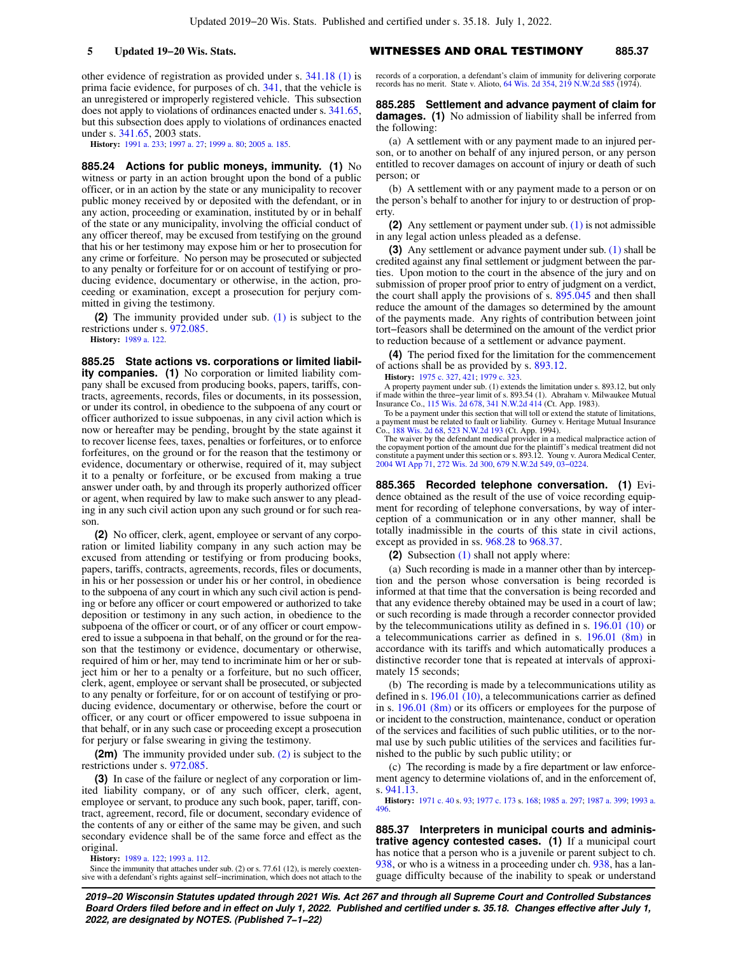other evidence of registration as provided under s. [341.18 \(1\)](https://docs.legis.wisconsin.gov/document/statutes/341.18(1)) is prima facie evidence, for purposes of ch. [341,](https://docs.legis.wisconsin.gov/document/statutes/ch.%20341) that the vehicle is an unregistered or improperly registered vehicle. This subsection does not apply to violations of ordinances enacted under s. [341.65,](https://docs.legis.wisconsin.gov/document/statutes/341.65) but this subsection does apply to violations of ordinances enacted under s. [341.65,](https://docs.legis.wisconsin.gov/document/statutes/2003/341.65) 2003 stats.

**History:** [1991 a. 233](https://docs.legis.wisconsin.gov/document/acts/1991/233); [1997 a. 27;](https://docs.legis.wisconsin.gov/document/acts/1997/27) [1999 a. 80;](https://docs.legis.wisconsin.gov/document/acts/1999/80) [2005 a. 185](https://docs.legis.wisconsin.gov/document/acts/2005/185).

**885.24 Actions for public moneys, immunity. (1)** No witness or party in an action brought upon the bond of a public officer, or in an action by the state or any municipality to recover public money received by or deposited with the defendant, or in any action, proceeding or examination, instituted by or in behalf of the state or any municipality, involving the official conduct of any officer thereof, may be excused from testifying on the ground that his or her testimony may expose him or her to prosecution for any crime or forfeiture. No person may be prosecuted or subjected to any penalty or forfeiture for or on account of testifying or producing evidence, documentary or otherwise, in the action, proceeding or examination, except a prosecution for perjury committed in giving the testimony.

**(2)** The immunity provided under sub. [\(1\)](https://docs.legis.wisconsin.gov/document/statutes/885.24(1)) is subject to the restrictions under s. [972.085.](https://docs.legis.wisconsin.gov/document/statutes/972.085)

**History:** [1989 a. 122](https://docs.legis.wisconsin.gov/document/acts/1989/122).

**885.25 State actions vs. corporations or limited liability companies. (1)** No corporation or limited liability company shall be excused from producing books, papers, tariffs, contracts, agreements, records, files or documents, in its possession, or under its control, in obedience to the subpoena of any court or officer authorized to issue subpoenas, in any civil action which is now or hereafter may be pending, brought by the state against it to recover license fees, taxes, penalties or forfeitures, or to enforce forfeitures, on the ground or for the reason that the testimony or evidence, documentary or otherwise, required of it, may subject it to a penalty or forfeiture, or be excused from making a true answer under oath, by and through its properly authorized officer or agent, when required by law to make such answer to any pleading in any such civil action upon any such ground or for such reason.

**(2)** No officer, clerk, agent, employee or servant of any corporation or limited liability company in any such action may be excused from attending or testifying or from producing books, papers, tariffs, contracts, agreements, records, files or documents, in his or her possession or under his or her control, in obedience to the subpoena of any court in which any such civil action is pending or before any officer or court empowered or authorized to take deposition or testimony in any such action, in obedience to the subpoena of the officer or court, or of any officer or court empowered to issue a subpoena in that behalf, on the ground or for the reason that the testimony or evidence, documentary or otherwise, required of him or her, may tend to incriminate him or her or subject him or her to a penalty or a forfeiture, but no such officer, clerk, agent, employee or servant shall be prosecuted, or subjected to any penalty or forfeiture, for or on account of testifying or producing evidence, documentary or otherwise, before the court or officer, or any court or officer empowered to issue subpoena in that behalf, or in any such case or proceeding except a prosecution for perjury or false swearing in giving the testimony.

**(2m)** The immunity provided under sub. [\(2\)](https://docs.legis.wisconsin.gov/document/statutes/885.25(2)) is subject to the restrictions under s. [972.085.](https://docs.legis.wisconsin.gov/document/statutes/972.085)

**(3)** In case of the failure or neglect of any corporation or limited liability company, or of any such officer, clerk, agent, employee or servant, to produce any such book, paper, tariff, contract, agreement, record, file or document, secondary evidence of the contents of any or either of the same may be given, and such secondary evidence shall be of the same force and effect as the original.

**History:** [1989 a. 122](https://docs.legis.wisconsin.gov/document/acts/1989/122); [1993 a. 112.](https://docs.legis.wisconsin.gov/document/acts/1993/112)

Since the immunity that attaches under sub. (2) or s. 77.61 (12), is merely coextensive with a defendant's rights against self−incrimination, which does not attach to the

**5 Updated 19−20 Wis. Stats.** WITNESSES AND ORAL TESTIMONY **885.37**

records of a corporation, a defendant's claim of immunity for delivering corporate records has no merit. State v. Alioto, [64 Wis. 2d 354,](https://docs.legis.wisconsin.gov/document/courts/64%20Wis.%202d%20354) [219 N.W.2d 585](https://docs.legis.wisconsin.gov/document/courts/219%20N.W.2d%20585) (1974).

### **885.285 Settlement and advance payment of claim for damages. (1)** No admission of liability shall be inferred from the following:

(a) A settlement with or any payment made to an injured person, or to another on behalf of any injured person, or any person entitled to recover damages on account of injury or death of such person; or

(b) A settlement with or any payment made to a person or on the person's behalf to another for injury to or destruction of property.

**(2)** Any settlement or payment under sub. [\(1\)](https://docs.legis.wisconsin.gov/document/statutes/885.285(1)) is not admissible in any legal action unless pleaded as a defense.

**(3)** Any settlement or advance payment under sub. [\(1\)](https://docs.legis.wisconsin.gov/document/statutes/885.285(1)) shall be credited against any final settlement or judgment between the parties. Upon motion to the court in the absence of the jury and on submission of proper proof prior to entry of judgment on a verdict, the court shall apply the provisions of s. [895.045](https://docs.legis.wisconsin.gov/document/statutes/895.045) and then shall reduce the amount of the damages so determined by the amount of the payments made. Any rights of contribution between joint tort−feasors shall be determined on the amount of the verdict prior to reduction because of a settlement or advance payment.

**(4)** The period fixed for the limitation for the commencement of actions shall be as provided by s. [893.12](https://docs.legis.wisconsin.gov/document/statutes/893.12).

**History:** [1975 c. 327,](https://docs.legis.wisconsin.gov/document/acts/1975/327) [421;](https://docs.legis.wisconsin.gov/document/acts/1975/421) [1979 c. 323](https://docs.legis.wisconsin.gov/document/acts/1979/323).

A property payment under sub. (1) extends the limitation under s. 893.12, but only<br>if made within the three-year limit of s. 893.8.54 (1). Abraham v. Milwaukee Mutual<br>Insurance Co., [115 Wis. 2d 678](https://docs.legis.wisconsin.gov/document/courts/115%20Wis.%202d%20678), [341 N.W.2d 414](https://docs.legis.wisconsin.gov/document/courts/341%20N.W.2d%20414) (Ct. App

To be a payment under this section that will toll or extend the statute of limitations, a payment must be related to fault or liability. Gurney v. Heritage Mutual Insurance Co., [188 Wis. 2d 68,](https://docs.legis.wisconsin.gov/document/courts/188%20Wis.%202d%2068) [523 N.W.2d 193](https://docs.legis.wisconsin.gov/document/courts/523%20N.W.2d%20193) (Ct. App. 1994).

The waiver by the defendant medical provider in a medical malpractice action of the copayment portion of the amount due for the plaintiff's medical treatment did not constitute a payment under this section or s. 893.12. Young v. Aurora Medical Center, [2004 WI App 71](https://docs.legis.wisconsin.gov/document/courts/2004%20WI%20App%2071), [272 Wis. 2d 300,](https://docs.legis.wisconsin.gov/document/courts/272%20Wis.%202d%20300) [679 N.W.2d 549,](https://docs.legis.wisconsin.gov/document/courts/679%20N.W.2d%20549) [03−0224.](https://docs.legis.wisconsin.gov/document/wicourtofappeals/03-0224)

**885.365 Recorded telephone conversation. (1)** Evidence obtained as the result of the use of voice recording equipment for recording of telephone conversations, by way of interception of a communication or in any other manner, shall be totally inadmissible in the courts of this state in civil actions, except as provided in ss. [968.28](https://docs.legis.wisconsin.gov/document/statutes/968.28) to [968.37](https://docs.legis.wisconsin.gov/document/statutes/968.37).

**(2)** Subsection [\(1\)](https://docs.legis.wisconsin.gov/document/statutes/885.365(1)) shall not apply where:

(a) Such recording is made in a manner other than by interception and the person whose conversation is being recorded is informed at that time that the conversation is being recorded and that any evidence thereby obtained may be used in a court of law; or such recording is made through a recorder connector provided by the telecommunications utility as defined in s. [196.01 \(10\)](https://docs.legis.wisconsin.gov/document/statutes/196.01(10)) or a telecommunications carrier as defined in s. [196.01 \(8m\)](https://docs.legis.wisconsin.gov/document/statutes/196.01(8m)) in accordance with its tariffs and which automatically produces a distinctive recorder tone that is repeated at intervals of approximately 15 seconds;

(b) The recording is made by a telecommunications utility as defined in s. [196.01 \(10\),](https://docs.legis.wisconsin.gov/document/statutes/196.01(10)) a telecommunications carrier as defined in s. [196.01 \(8m\)](https://docs.legis.wisconsin.gov/document/statutes/196.01(8m)) or its officers or employees for the purpose of or incident to the construction, maintenance, conduct or operation of the services and facilities of such public utilities, or to the normal use by such public utilities of the services and facilities furnished to the public by such public utility; or

(c) The recording is made by a fire department or law enforcement agency to determine violations of, and in the enforcement of, s. [941.13.](https://docs.legis.wisconsin.gov/document/statutes/941.13)

**History:** [1971 c. 40](https://docs.legis.wisconsin.gov/document/acts/1971/40) s. [93;](https://docs.legis.wisconsin.gov/document/acts/1971/40,%20s.%2093) [1977 c. 173](https://docs.legis.wisconsin.gov/document/acts/1977/173) s. [168;](https://docs.legis.wisconsin.gov/document/acts/1977/173,%20s.%20168) [1985 a. 297](https://docs.legis.wisconsin.gov/document/acts/1985/297); [1987 a. 399;](https://docs.legis.wisconsin.gov/document/acts/1987/399) [1993 a.](https://docs.legis.wisconsin.gov/document/acts/1993/496) [496.](https://docs.legis.wisconsin.gov/document/acts/1993/496)

**885.37 Interpreters in municipal courts and administrative agency contested cases. (1)** If a municipal court has notice that a person who is a juvenile or parent subject to ch. [938,](https://docs.legis.wisconsin.gov/document/statutes/ch.%20938) or who is a witness in a proceeding under ch. [938,](https://docs.legis.wisconsin.gov/document/statutes/ch.%20938) has a language difficulty because of the inability to speak or understand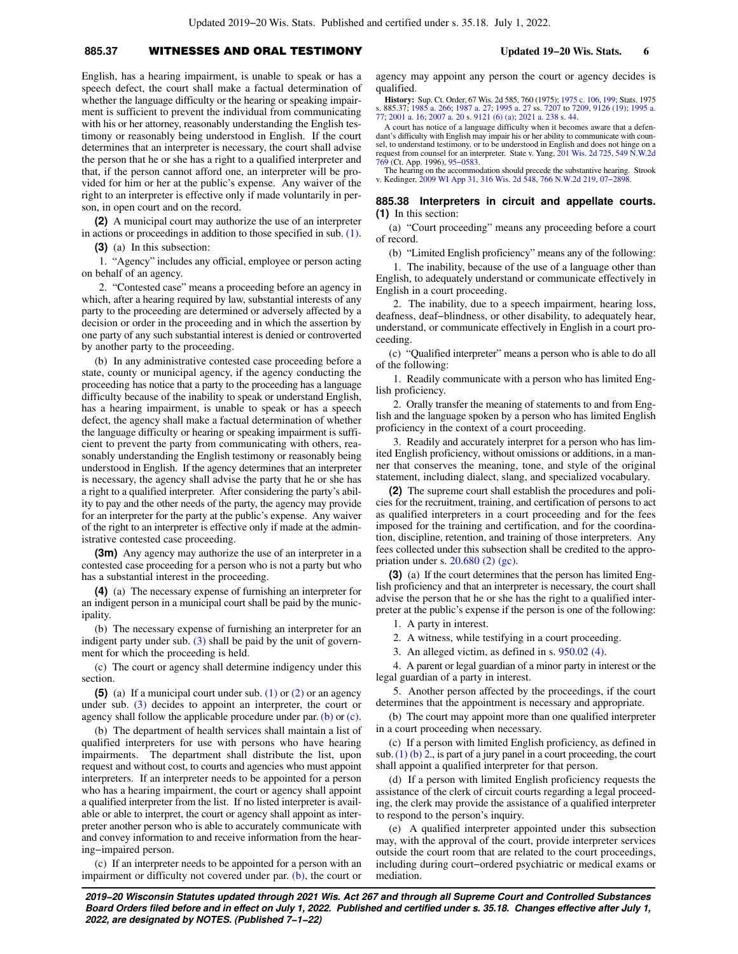# **885.37** WITNESSES AND ORAL TESTIMONY **Updated 19−20 Wis. Stats. 6**

English, has a hearing impairment, is unable to speak or has a speech defect, the court shall make a factual determination of whether the language difficulty or the hearing or speaking impairment is sufficient to prevent the individual from communicating with his or her attorney, reasonably understanding the English testimony or reasonably being understood in English. If the court determines that an interpreter is necessary, the court shall advise the person that he or she has a right to a qualified interpreter and that, if the person cannot afford one, an interpreter will be provided for him or her at the public's expense. Any waiver of the right to an interpreter is effective only if made voluntarily in person, in open court and on the record.

**(2)** A municipal court may authorize the use of an interpreter in actions or proceedings in addition to those specified in sub. [\(1\).](https://docs.legis.wisconsin.gov/document/statutes/885.37(1))

**(3)** (a) In this subsection:

1. "Agency" includes any official, employee or person acting on behalf of an agency.

2. "Contested case" means a proceeding before an agency in which, after a hearing required by law, substantial interests of any party to the proceeding are determined or adversely affected by a decision or order in the proceeding and in which the assertion by one party of any such substantial interest is denied or controverted by another party to the proceeding.

(b) In any administrative contested case proceeding before a state, county or municipal agency, if the agency conducting the proceeding has notice that a party to the proceeding has a language difficulty because of the inability to speak or understand English, has a hearing impairment, is unable to speak or has a speech defect, the agency shall make a factual determination of whether the language difficulty or hearing or speaking impairment is sufficient to prevent the party from communicating with others, reasonably understanding the English testimony or reasonably being understood in English. If the agency determines that an interpreter is necessary, the agency shall advise the party that he or she has a right to a qualified interpreter. After considering the party's ability to pay and the other needs of the party, the agency may provide for an interpreter for the party at the public's expense. Any waiver of the right to an interpreter is effective only if made at the administrative contested case proceeding.

**(3m)** Any agency may authorize the use of an interpreter in a contested case proceeding for a person who is not a party but who has a substantial interest in the proceeding.

**(4)** (a) The necessary expense of furnishing an interpreter for an indigent person in a municipal court shall be paid by the municipality.

(b) The necessary expense of furnishing an interpreter for an indigent party under sub.  $(3)$  shall be paid by the unit of government for which the proceeding is held.

(c) The court or agency shall determine indigency under this section.

**(5)** (a) If a municipal court under sub. [\(1\)](https://docs.legis.wisconsin.gov/document/statutes/885.37(1)) or [\(2\)](https://docs.legis.wisconsin.gov/document/statutes/885.37(2)) or an agency under sub. [\(3\)](https://docs.legis.wisconsin.gov/document/statutes/885.37(3)) decides to appoint an interpreter, the court or agency shall follow the applicable procedure under par. [\(b\)](https://docs.legis.wisconsin.gov/document/statutes/885.37(5)(b)) or [\(c\).](https://docs.legis.wisconsin.gov/document/statutes/885.37(5)(c))

(b) The department of health services shall maintain a list of qualified interpreters for use with persons who have hearing impairments. The department shall distribute the list, upon request and without cost, to courts and agencies who must appoint interpreters. If an interpreter needs to be appointed for a person who has a hearing impairment, the court or agency shall appoint a qualified interpreter from the list. If no listed interpreter is available or able to interpret, the court or agency shall appoint as interpreter another person who is able to accurately communicate with and convey information to and receive information from the hearing−impaired person.

(c) If an interpreter needs to be appointed for a person with an impairment or difficulty not covered under par. [\(b\)](https://docs.legis.wisconsin.gov/document/statutes/885.37(5)(b)), the court or agency may appoint any person the court or agency decides is qualified.

**History:** Sup. Ct. Order, 67 Wis. 2d 585, 760 (1975); [1975 c. 106](https://docs.legis.wisconsin.gov/document/acts/1975/106), [199;](https://docs.legis.wisconsin.gov/document/acts/1975/199) Stats. 1975 s. 885.37; [1985 a. 266](https://docs.legis.wisconsin.gov/document/acts/1985/266); [1987 a. 27;](https://docs.legis.wisconsin.gov/document/acts/1987/27) [1995 a. 27](https://docs.legis.wisconsin.gov/document/acts/1995/27) ss. [7207](https://docs.legis.wisconsin.gov/document/acts/1995/27,%20s.%207207) to [7209,](https://docs.legis.wisconsin.gov/document/acts/1995/27,%20s.%207209) [9126 \(19\);](https://docs.legis.wisconsin.gov/document/acts/1995/27,%20s.%209126) [1995 a.](https://docs.legis.wisconsin.gov/document/acts/1995/77) [77](https://docs.legis.wisconsin.gov/document/acts/1995/77); [2001 a. 16](https://docs.legis.wisconsin.gov/document/acts/2001/16); [2007 a. 20](https://docs.legis.wisconsin.gov/document/acts/2007/20) s. [9121 \(6\) \(a\);](https://docs.legis.wisconsin.gov/document/acts/2007/20,%20s.%209121) [2021 a. 238](https://docs.legis.wisconsin.gov/document/acts/2021/238) s. [44.](https://docs.legis.wisconsin.gov/document/acts/2021/238,%20s.%2044)

A court has notice of a language difficulty when it becomes aware that a defendant's difficulty with English may impair his or her ability to communicate with counsel, to understand testimony, or to be understood in English and does not hinge on a request from counsel for an interpreter. State v. Yang, [201 Wis. 2d 725,](https://docs.legis.wisconsin.gov/document/courts/201%20Wis.%202d%20725) [549 N.W.2d](https://docs.legis.wisconsin.gov/document/courts/549%20N.W.2d%20769) [769](https://docs.legis.wisconsin.gov/document/courts/549%20N.W.2d%20769) (Ct. App. 1996), [95−0583.](https://docs.legis.wisconsin.gov/document/wicourtofappeals/95-0583)

The hearing on the accommodation should precede the substantive hearing. Strook v. Kedinger, [2009 WI App 31](https://docs.legis.wisconsin.gov/document/courts/2009%20WI%20App%2031), [316 Wis. 2d 548,](https://docs.legis.wisconsin.gov/document/courts/316%20Wis.%202d%20548) [766 N.W.2d 219](https://docs.legis.wisconsin.gov/document/courts/766%20N.W.2d%20219), [07−2898.](https://docs.legis.wisconsin.gov/document/wicourtofappeals/07-2898)

## **885.38 Interpreters in circuit and appellate courts. (1)** In this section:

(a) "Court proceeding" means any proceeding before a court of record.

(b) "Limited English proficiency" means any of the following:

1. The inability, because of the use of a language other than English, to adequately understand or communicate effectively in English in a court proceeding.

2. The inability, due to a speech impairment, hearing loss, deafness, deaf−blindness, or other disability, to adequately hear, understand, or communicate effectively in English in a court proceeding.

(c) "Qualified interpreter" means a person who is able to do all of the following:

1. Readily communicate with a person who has limited English proficiency.

2. Orally transfer the meaning of statements to and from English and the language spoken by a person who has limited English proficiency in the context of a court proceeding.

3. Readily and accurately interpret for a person who has limited English proficiency, without omissions or additions, in a manner that conserves the meaning, tone, and style of the original statement, including dialect, slang, and specialized vocabulary.

**(2)** The supreme court shall establish the procedures and policies for the recruitment, training, and certification of persons to act as qualified interpreters in a court proceeding and for the fees imposed for the training and certification, and for the coordination, discipline, retention, and training of those interpreters. Any fees collected under this subsection shall be credited to the appropriation under s. [20.680 \(2\) \(gc\).](https://docs.legis.wisconsin.gov/document/statutes/20.680(2)(gc))

**(3)** (a) If the court determines that the person has limited English proficiency and that an interpreter is necessary, the court shall advise the person that he or she has the right to a qualified interpreter at the public's expense if the person is one of the following:

1. A party in interest.

2. A witness, while testifying in a court proceeding.

3. An alleged victim, as defined in s. [950.02 \(4\)](https://docs.legis.wisconsin.gov/document/statutes/950.02(4)).

4. A parent or legal guardian of a minor party in interest or the legal guardian of a party in interest.

5. Another person affected by the proceedings, if the court determines that the appointment is necessary and appropriate.

(b) The court may appoint more than one qualified interpreter in a court proceeding when necessary.

(c) If a person with limited English proficiency, as defined in sub.  $(1)$  (b) 2., is part of a jury panel in a court proceeding, the court shall appoint a qualified interpreter for that person.

(d) If a person with limited English proficiency requests the assistance of the clerk of circuit courts regarding a legal proceeding, the clerk may provide the assistance of a qualified interpreter to respond to the person's inquiry.

(e) A qualified interpreter appointed under this subsection may, with the approval of the court, provide interpreter services outside the court room that are related to the court proceedings, including during court−ordered psychiatric or medical exams or mediation.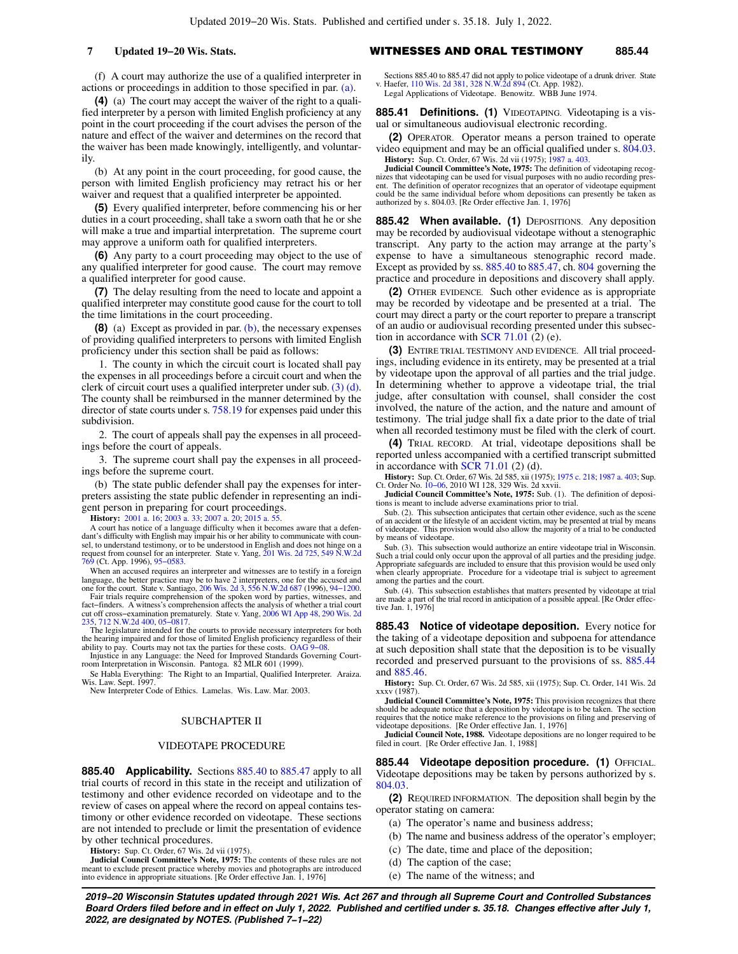### **7 Updated 19−20 Wis. Stats.** WITNESSES AND ORAL TESTIMONY **885.44**

(f) A court may authorize the use of a qualified interpreter in actions or proceedings in addition to those specified in par. [\(a\)](https://docs.legis.wisconsin.gov/document/statutes/885.38(3)(a)).

**(4)** (a) The court may accept the waiver of the right to a qualified interpreter by a person with limited English proficiency at any point in the court proceeding if the court advises the person of the nature and effect of the waiver and determines on the record that the waiver has been made knowingly, intelligently, and voluntarily.

(b) At any point in the court proceeding, for good cause, the person with limited English proficiency may retract his or her waiver and request that a qualified interpreter be appointed.

**(5)** Every qualified interpreter, before commencing his or her duties in a court proceeding, shall take a sworn oath that he or she will make a true and impartial interpretation. The supreme court may approve a uniform oath for qualified interpreters.

**(6)** Any party to a court proceeding may object to the use of any qualified interpreter for good cause. The court may remove a qualified interpreter for good cause.

**(7)** The delay resulting from the need to locate and appoint a qualified interpreter may constitute good cause for the court to toll the time limitations in the court proceeding.

**(8)** (a) Except as provided in par. [\(b\)](https://docs.legis.wisconsin.gov/document/statutes/885.38(8)(b)), the necessary expenses of providing qualified interpreters to persons with limited English proficiency under this section shall be paid as follows:

1. The county in which the circuit court is located shall pay the expenses in all proceedings before a circuit court and when the clerk of circuit court uses a qualified interpreter under sub. [\(3\) \(d\).](https://docs.legis.wisconsin.gov/document/statutes/885.38(3)(d)) The county shall be reimbursed in the manner determined by the director of state courts under s. [758.19](https://docs.legis.wisconsin.gov/document/statutes/758.19) for expenses paid under this subdivision.

2. The court of appeals shall pay the expenses in all proceedings before the court of appeals.

3. The supreme court shall pay the expenses in all proceedings before the supreme court.

(b) The state public defender shall pay the expenses for interpreters assisting the state public defender in representing an indigent person in preparing for court proceedings.

**History:** [2001 a. 16;](https://docs.legis.wisconsin.gov/document/acts/2001/16) [2003 a. 33;](https://docs.legis.wisconsin.gov/document/acts/2003/33) [2007 a. 20](https://docs.legis.wisconsin.gov/document/acts/2007/20); [2015 a. 55](https://docs.legis.wisconsin.gov/document/acts/2015/55).

A court has notice of a language difficulty when it becomes aware that a defendant's difficulty with English may impair his or her ability to communicate with coun-<br>sel, to understand testimony, or to be understood in English and does not hinge on a<br>request from counsel for an interpreter. State v. [769](https://docs.legis.wisconsin.gov/document/courts/549%20N.W.2d%20769) (Ct. App. 1996), [95−0583.](https://docs.legis.wisconsin.gov/document/wicourtofappeals/95-0583)

When an accused requires an interpreter and witnesses are to testify in a foreign language, the better practice may be to have 2 interpreters, one for the accused and one for the court. State v. Santiago, [206 Wis. 2d 3,](https://docs.legis.wisconsin.gov/document/courts/206%20Wis.%202d%203) [556 N.W.2d 687](https://docs.legis.wisconsin.gov/document/courts/556%20N.W.2d%20687) (1996), [94−1200](https://docs.legis.wisconsin.gov/document/wisupremecourt/94-1200).

Fair trials require comprehension of the spoken word by parties, witnesses, and fact–finders. A witness's comprehension affects the analysis of whether a trial court off cross–examination prematurely. State v. Yang, [2006 WI App 48](https://docs.legis.wisconsin.gov/document/courts/2006%20WI%20App%2048), [290 Wis. 2d](https://docs.legis.wisconsin.gov/document/courts/290%20Wis.%202d%20235) [235](https://docs.legis.wisconsin.gov/document/courts/290%20Wis.%202d%20235), [712 N.W.2d 400,](https://docs.legis.wisconsin.gov/document/courts/712%20N.W.2d%20400) [05−0817](https://docs.legis.wisconsin.gov/document/wicourtofappeals/05-0817).

The legislature intended for the courts to provide necessary interpreters for both the hearing impaired and for those of limited English proficiency regardless of their

ability to pay. Courts may not tax the parties for these costs. [OAG 9−08.](https://docs.legis.wisconsin.gov/document/oag/oag9-08) Injustice in any Language: the Need for Improved Standards Governing Court-room Interpretation in Wisconsin. Pantoga. 82 MLR 601 (1999). Se Habla Everything: The Right to an Impartial, Qualified Interpreter. Araiza.

Wis. Law. Sept. 1997. New Interpreter Code of Ethics. Lamelas. Wis. Law. Mar. 2003.

### SUBCHAPTER II

### VIDEOTAPE PROCEDURE

**885.40 Applicability.** Sections [885.40](https://docs.legis.wisconsin.gov/document/statutes/885.40) to [885.47](https://docs.legis.wisconsin.gov/document/statutes/885.47) apply to all trial courts of record in this state in the receipt and utilization of testimony and other evidence recorded on videotape and to the review of cases on appeal where the record on appeal contains testimony or other evidence recorded on videotape. These sections are not intended to preclude or limit the presentation of evidence by other technical procedures.

**History:** Sup. Ct. Order, 67 Wis. 2d vii (1975).

**Judicial Council Committee's Note, 1975:** The contents of these rules are not meant to exclude present practice whereby movies and photographs are introduced into evidence in appropriate situations. [Re Order effective Jan. 1, 1976] Sections 885.40 to 885.47 did not apply to police videotape of a drunk driver. State v. Haefer, [110 Wis. 2d 381,](https://docs.legis.wisconsin.gov/document/courts/110%20Wis.%202d%20381) [328 N.W.2d 894](https://docs.legis.wisconsin.gov/document/courts/328%20N.W.2d%20894) (Ct. App. 1982). Legal Applications of Videotape. Benowitz. WBB June 1974.

**885.41 Definitions. (1)** VIDEOTAPING. Videotaping is a visual or simultaneous audiovisual electronic recording.

**(2)** OPERATOR. Operator means a person trained to operate video equipment and may be an official qualified under s. [804.03.](https://docs.legis.wisconsin.gov/document/statutes/804.03) **History:** Sup. Ct. Order, 67 Wis. 2d vii (1975); [1987 a. 403](https://docs.legis.wisconsin.gov/document/acts/1987/403).

**Judicial Council Committee's Note, 1975:** The definition of videotaping recognizes that videotaping can be used for visual purposes with no audio recording present. The definition of operator recognizes that an operator of videotape equipment could be the same individual before whom depositions can presently be taken as authorized by s. 804.03. [Re Order effective Jan. 1, 1976]

**885.42 When available. (1)** DEPOSITIONS. Any deposition may be recorded by audiovisual videotape without a stenographic transcript. Any party to the action may arrange at the party's expense to have a simultaneous stenographic record made. Except as provided by ss. [885.40](https://docs.legis.wisconsin.gov/document/statutes/885.40) to [885.47](https://docs.legis.wisconsin.gov/document/statutes/885.47), ch. [804](https://docs.legis.wisconsin.gov/document/statutes/ch.%20804) governing the practice and procedure in depositions and discovery shall apply.

**(2)** OTHER EVIDENCE. Such other evidence as is appropriate may be recorded by videotape and be presented at a trial. The court may direct a party or the court reporter to prepare a transcript of an audio or audiovisual recording presented under this subsec-tion in accordance with [SCR 71.01](https://docs.legis.wisconsin.gov/document/scr/71.01)  $(2)$  (e).

**(3)** ENTIRE TRIAL TESTIMONY AND EVIDENCE. All trial proceedings, including evidence in its entirety, may be presented at a trial by videotape upon the approval of all parties and the trial judge. In determining whether to approve a videotape trial, the trial judge, after consultation with counsel, shall consider the cost involved, the nature of the action, and the nature and amount of testimony. The trial judge shall fix a date prior to the date of trial when all recorded testimony must be filed with the clerk of court.

**(4)** TRIAL RECORD. At trial, videotape depositions shall be reported unless accompanied with a certified transcript submitted in accordance with [SCR 71.01](https://docs.legis.wisconsin.gov/document/scr/71.01)  $(2)$   $(d)$ .

**History:** Sup. Ct. Order, 67 Wis. 2d 585, xii (1975); [1975 c. 218;](https://docs.legis.wisconsin.gov/document/acts/1975/218) [1987 a. 403;](https://docs.legis.wisconsin.gov/document/acts/1987/403) Sup. Ct. Order No. [10−06,](https://docs.legis.wisconsin.gov/document/sco/10-06) 2010 WI 128, 329 Wis. 2d xxvii.

**Judicial Council Committee's Note, 1975:** Sub. (1). The definition of depositions is meant to include adverse examinations prior to trial.

Sub. (2). This subsection anticipates that certain other evidence, such as the scene of an accident or the lifestyle of an accident victim, may be presented at trial by means of videotape. This provision would also allow the majority of a trial to be conducted by means of videotape.

Sub. (3). This subsection would authorize an entire videotape trial in Wisconsin. Such a trial could only occur upon the approval of all parties and the presiding judge. Appropriate safeguards are included to ensure that this provision would be used only when clearly appropriate. Procedure for a videotape trial is subject to agreement among the parties and the court.

Sub. (4). This subsection establishes that matters presented by videotape at trial are made a part of the trial record in anticipation of a possible appeal. [Re Order effective Jan. 1, 1976]

**885.43 Notice of videotape deposition.** Every notice for the taking of a videotape deposition and subpoena for attendance at such deposition shall state that the deposition is to be visually recorded and preserved pursuant to the provisions of ss. [885.44](https://docs.legis.wisconsin.gov/document/statutes/885.44) and [885.46](https://docs.legis.wisconsin.gov/document/statutes/885.46).

**History:** Sup. Ct. Order, 67 Wis. 2d 585, xii (1975); Sup. Ct. Order, 141 Wis. 2d xxxv (1987).

**Judicial Council Committee's Note, 1975:** This provision recognizes that there should be adequate notice that a deposition by videotape is to be taken. The section requires that the notice make reference to the provisions on filing and preserving of

videotape depositions. [Re Order effective Jan. 1, 1976] **Judicial Council Note, 1988.** Videotape depositions are no longer required to be filed in court. [Re Order effective Jan. 1, 1988]

**885.44 Videotape deposition procedure. (1)** OFFICIAL. Videotape depositions may be taken by persons authorized by s. [804.03.](https://docs.legis.wisconsin.gov/document/statutes/804.03)

**(2)** REQUIRED INFORMATION. The deposition shall begin by the operator stating on camera:

(a) The operator's name and business address;

- (b) The name and business address of the operator's employer;
- (c) The date, time and place of the deposition;
- (d) The caption of the case;
- (e) The name of the witness; and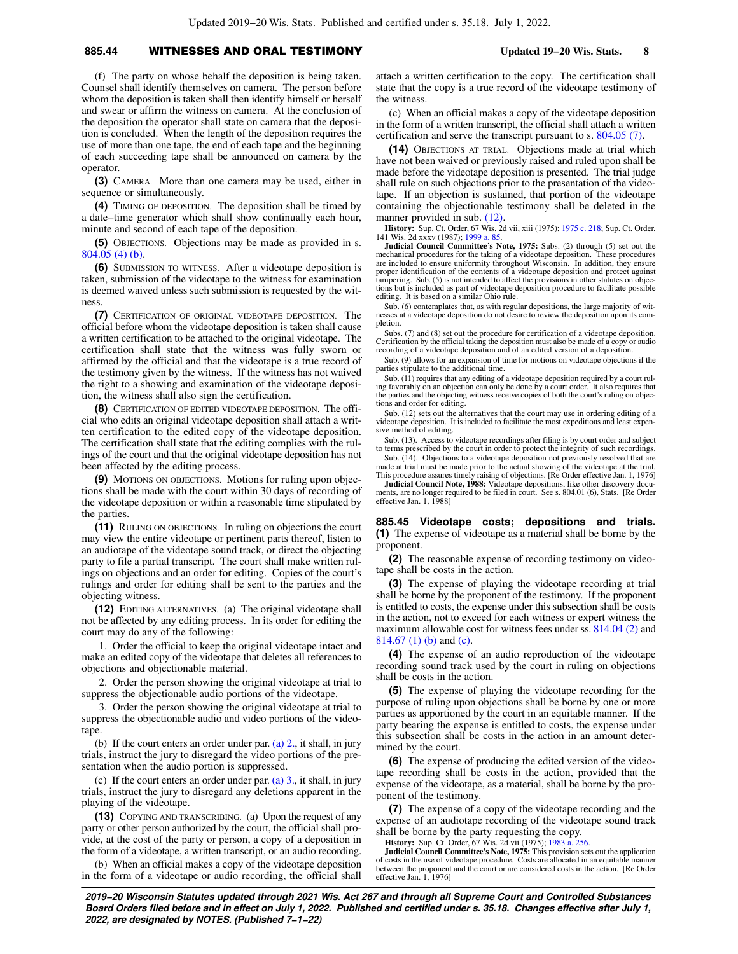## **885.44** WITNESSES AND ORAL TESTIMONY **Updated 19−20 Wis. Stats. 8**

(f) The party on whose behalf the deposition is being taken. Counsel shall identify themselves on camera. The person before whom the deposition is taken shall then identify himself or herself and swear or affirm the witness on camera. At the conclusion of the deposition the operator shall state on camera that the deposition is concluded. When the length of the deposition requires the use of more than one tape, the end of each tape and the beginning of each succeeding tape shall be announced on camera by the operator.

**(3)** CAMERA. More than one camera may be used, either in sequence or simultaneously.

**(4)** TIMING OF DEPOSITION. The deposition shall be timed by a date−time generator which shall show continually each hour, minute and second of each tape of the deposition.

**(5)** OBJECTIONS. Objections may be made as provided in s. [804.05 \(4\) \(b\)](https://docs.legis.wisconsin.gov/document/statutes/804.05(4)(b)).

**(6)** SUBMISSION TO WITNESS. After a videotape deposition is taken, submission of the videotape to the witness for examination is deemed waived unless such submission is requested by the witness.

**(7)** CERTIFICATION OF ORIGINAL VIDEOTAPE DEPOSITION. The official before whom the videotape deposition is taken shall cause a written certification to be attached to the original videotape. The certification shall state that the witness was fully sworn or affirmed by the official and that the videotape is a true record of the testimony given by the witness. If the witness has not waived the right to a showing and examination of the videotape deposition, the witness shall also sign the certification.

**(8)** CERTIFICATION OF EDITED VIDEOTAPE DEPOSITION. The official who edits an original videotape deposition shall attach a written certification to the edited copy of the videotape deposition. The certification shall state that the editing complies with the rulings of the court and that the original videotape deposition has not been affected by the editing process.

**(9)** MOTIONS ON OBJECTIONS. Motions for ruling upon objections shall be made with the court within 30 days of recording of the videotape deposition or within a reasonable time stipulated by the parties.

**(11)** RULING ON OBJECTIONS. In ruling on objections the court may view the entire videotape or pertinent parts thereof, listen to an audiotape of the videotape sound track, or direct the objecting party to file a partial transcript. The court shall make written rulings on objections and an order for editing. Copies of the court's rulings and order for editing shall be sent to the parties and the objecting witness.

**(12)** EDITING ALTERNATIVES. (a) The original videotape shall not be affected by any editing process. In its order for editing the court may do any of the following:

1. Order the official to keep the original videotape intact and make an edited copy of the videotape that deletes all references to objections and objectionable material.

2. Order the person showing the original videotape at trial to suppress the objectionable audio portions of the videotape.

3. Order the person showing the original videotape at trial to suppress the objectionable audio and video portions of the videotape.

(b) If the court enters an order under par. (a)  $2$ , it shall, in jury trials, instruct the jury to disregard the video portions of the presentation when the audio portion is suppressed.

(c) If the court enters an order under par. [\(a\) 3.](https://docs.legis.wisconsin.gov/document/statutes/885.44(12)(a)3.), it shall, in jury trials, instruct the jury to disregard any deletions apparent in the playing of the videotape.

**(13)** COPYING AND TRANSCRIBING. (a) Upon the request of any party or other person authorized by the court, the official shall provide, at the cost of the party or person, a copy of a deposition in the form of a videotape, a written transcript, or an audio recording.

(b) When an official makes a copy of the videotape deposition in the form of a videotape or audio recording, the official shall attach a written certification to the copy. The certification shall state that the copy is a true record of the videotape testimony of the witness.

(c) When an official makes a copy of the videotape deposition in the form of a written transcript, the official shall attach a written certification and serve the transcript pursuant to s. [804.05 \(7\).](https://docs.legis.wisconsin.gov/document/statutes/804.05(7))

**(14)** OBJECTIONS AT TRIAL. Objections made at trial which have not been waived or previously raised and ruled upon shall be made before the videotape deposition is presented. The trial judge shall rule on such objections prior to the presentation of the videotape. If an objection is sustained, that portion of the videotape containing the objectionable testimony shall be deleted in the manner provided in sub.  $(12)$ .

**History:** Sup. Ct. Order, 67 Wis. 2d vii, xiii (1975); [1975 c. 218;](https://docs.legis.wisconsin.gov/document/acts/1975/218) Sup. Ct. Order, 141 Wis. 2d xxxv (1987); [1999 a. 85](https://docs.legis.wisconsin.gov/document/acts/1999/85).

**Judicial Council Committee's Note, 1975:** Subs. (2) through (5) set out the mechanical procedures for the taking of a videotape deposition. These procedures are included to ensure uniformity throughout Wisconsin. In addition, they ensure proper identification of the contents of a videotape deposition and protect against tampering. Sub. (5) is not intended to affect the provisions in other statutes on objections but is included as part of videotape deposition procedure to facilitate possible editing. It is based on a similar Ohio rule.

Sub. (6) contemplates that, as with regular depositions, the large majority of witnesses at a videotape deposition do not desire to review the deposition upon its completion.

Subs. (7) and (8) set out the procedure for certification of a videotape deposition. Certification by the official taking the deposition must also be made of a copy or audio recording of a videotape deposition and of an edited version of a deposition.

Sub. (9) allows for an expansion of time for motions on videotape objections if the parties stipulate to the additional time.

Sub. (11) requires that any editing of a videotape deposition required by a court ruling favorably on an objection can only be done by a court order. It also requires that the parties and the objecting witness receive copies of both the court's ruling on objections and order for editing.

Sub. (12) sets out the alternatives that the court may use in ordering editing of a videotape deposition. It is included to facilitate the most expeditious and least expensive method of editing.

Sub. (13). Access to videotape recordings after filing is by court order and subject to terms prescribed by the court in order to protect the integrity of such recordings.

Sub. (14). Objections to a videotape deposition not previously resolved that are made at trial must be made prior to the actual showing of the videotape at the trial. This procedure assures timely raising of objections. [Re Order effective Jan. 1, 1976]

**Judicial Council Note, 1988:** Videotape depositions, like other discovery docu-<br>ments, are no longer required to be filed in court. See s. 804.01 (6), Stats. [Re Order effective Jan. 1, 1988]

**885.45 Videotape costs; depositions and trials. (1)** The expense of videotape as a material shall be borne by the proponent.

**(2)** The reasonable expense of recording testimony on videotape shall be costs in the action.

**(3)** The expense of playing the videotape recording at trial shall be borne by the proponent of the testimony. If the proponent is entitled to costs, the expense under this subsection shall be costs in the action, not to exceed for each witness or expert witness the maximum allowable cost for witness fees under ss. [814.04 \(2\)](https://docs.legis.wisconsin.gov/document/statutes/814.04(2)) and [814.67 \(1\) \(b\)](https://docs.legis.wisconsin.gov/document/statutes/814.67(1)(b)) and [\(c\)](https://docs.legis.wisconsin.gov/document/statutes/814.67(1)(c)).

**(4)** The expense of an audio reproduction of the videotape recording sound track used by the court in ruling on objections shall be costs in the action.

**(5)** The expense of playing the videotape recording for the purpose of ruling upon objections shall be borne by one or more parties as apportioned by the court in an equitable manner. If the party bearing the expense is entitled to costs, the expense under this subsection shall be costs in the action in an amount determined by the court.

**(6)** The expense of producing the edited version of the videotape recording shall be costs in the action, provided that the expense of the videotape, as a material, shall be borne by the proponent of the testimony.

**(7)** The expense of a copy of the videotape recording and the expense of an audiotape recording of the videotape sound track shall be borne by the party requesting the copy.

**History:** Sup. Ct. Order, 67 Wis. 2d vii (1975); [1983 a. 256](https://docs.legis.wisconsin.gov/document/acts/1983/256).

**Judicial Council Committee's Note, 1975:** This provision sets out the application of costs in the use of videotape procedure. Costs are allocated in an equitable manner between the proponent and the court or are considered costs in the action. [Re Order effective Jan. 1, 1976]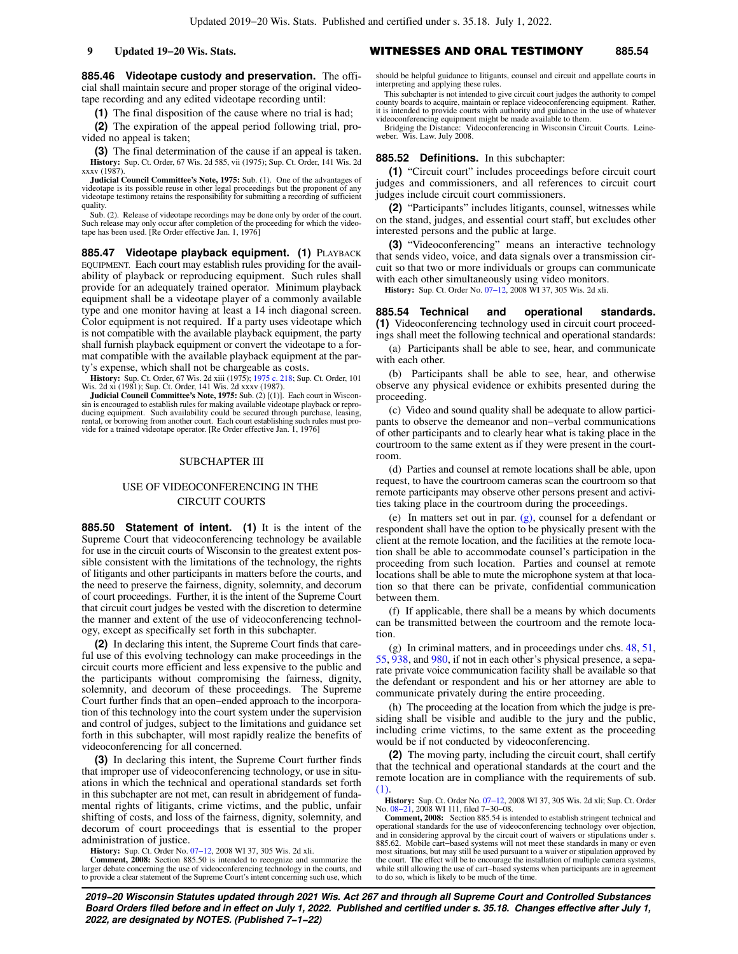**885.46 Videotape custody and preservation.** The official shall maintain secure and proper storage of the original videotape recording and any edited videotape recording until:

**(1)** The final disposition of the cause where no trial is had;

**(2)** The expiration of the appeal period following trial, provided no appeal is taken;

**(3)** The final determination of the cause if an appeal is taken. **History:** Sup. Ct. Order, 67 Wis. 2d 585, vii (1975); Sup. Ct. Order, 141 Wis. 2d xxxv (1987).

**Judicial Council Committee's Note, 1975:** Sub. (1). One of the advantages of videotape is its possible reuse in other legal proceedings but the proponent of any videotape testimony retains the responsibility for submitting a recording of sufficient quality.

Sub. (2). Release of videotape recordings may be done only by order of the court. Such release may only occur after completion of the proceeding for which the video-tape has been used. [Re Order effective Jan. 1, 1976]

**885.47 Videotape playback equipment. (1)** PLAYBACK EQUIPMENT. Each court may establish rules providing for the availability of playback or reproducing equipment. Such rules shall provide for an adequately trained operator. Minimum playback equipment shall be a videotape player of a commonly available type and one monitor having at least a 14 inch diagonal screen. Color equipment is not required. If a party uses videotape which is not compatible with the available playback equipment, the party shall furnish playback equipment or convert the videotape to a format compatible with the available playback equipment at the party's expense, which shall not be chargeable as costs.

**History:** Sup. Ct. Order, 67 Wis. 2d xiii (1975); [1975 c. 218;](https://docs.legis.wisconsin.gov/document/acts/1975/218) Sup. Ct. Order, 101 Wis. 2d xi (1981); Sup. Ct. Order, 141 Wis. 2d xxxv (1987).<br>**Judicial Council Committee's Note, 1975:** Sub. (2) [(1)]. Each court in Wisco

sin is encouraged to establish rules for making available videotape playback or reproducing equipment. Such availability could be secured through purchase, leasing, rental, or borrowing from another court. Each court establishing such rules must provide for a trained videotape operator. [Re Order effective Jan. 1, 1976]

# SUBCHAPTER III

# USE OF VIDEOCONFERENCING IN THE CIRCUIT COURTS

**885.50 Statement of intent. (1)** It is the intent of the Supreme Court that videoconferencing technology be available for use in the circuit courts of Wisconsin to the greatest extent possible consistent with the limitations of the technology, the rights of litigants and other participants in matters before the courts, and the need to preserve the fairness, dignity, solemnity, and decorum of court proceedings. Further, it is the intent of the Supreme Court that circuit court judges be vested with the discretion to determine the manner and extent of the use of videoconferencing technology, except as specifically set forth in this subchapter.

**(2)** In declaring this intent, the Supreme Court finds that careful use of this evolving technology can make proceedings in the circuit courts more efficient and less expensive to the public and the participants without compromising the fairness, dignity, solemnity, and decorum of these proceedings. The Supreme Court further finds that an open−ended approach to the incorporation of this technology into the court system under the supervision and control of judges, subject to the limitations and guidance set forth in this subchapter, will most rapidly realize the benefits of videoconferencing for all concerned.

**(3)** In declaring this intent, the Supreme Court further finds that improper use of videoconferencing technology, or use in situations in which the technical and operational standards set forth in this subchapter are not met, can result in abridgement of fundamental rights of litigants, crime victims, and the public, unfair shifting of costs, and loss of the fairness, dignity, solemnity, and decorum of court proceedings that is essential to the proper administration of justice.

**History:** Sup. Ct. Order No. [07−12,](https://docs.legis.wisconsin.gov/document/sco/07-12) 2008 WI 37, 305 Wis. 2d xli.

**Comment, 2008:** Section 885.50 is intended to recognize and summarize the larger debate concerning the use of videoconferencing technology in the courts, and to provide a clear statement of the Supreme Court's intent concerning such use, which

should be helpful guidance to litigants, counsel and circuit and appellate courts in interpreting and applying these rules.

This subchapter is not intended to give circuit court judges the authority to compel county boards to acquire, maintain or replace videoconferencing equipment. Rather, it is intended to provide courts with authority and guidance in the use of whatever

videoconferencing equipment might be made available to them. Bridging the Distance: Videoconferencing in Wisconsin Circuit Courts. Leineweber. Wis. Law. July 2008.

### **885.52 Definitions.** In this subchapter:

**(1)** "Circuit court" includes proceedings before circuit court judges and commissioners, and all references to circuit court judges include circuit court commissioners.

**(2)** "Participants" includes litigants, counsel, witnesses while on the stand, judges, and essential court staff, but excludes other interested persons and the public at large.

**(3)** "Videoconferencing" means an interactive technology that sends video, voice, and data signals over a transmission circuit so that two or more individuals or groups can communicate with each other simultaneously using video monitors.

**History:** Sup. Ct. Order No. [07−12,](https://docs.legis.wisconsin.gov/document/sco/07-12) 2008 WI 37, 305 Wis. 2d xli.

**885.54 Technical and operational standards. (1)** Videoconferencing technology used in circuit court proceedings shall meet the following technical and operational standards:

(a) Participants shall be able to see, hear, and communicate with each other.

(b) Participants shall be able to see, hear, and otherwise observe any physical evidence or exhibits presented during the proceeding.

(c) Video and sound quality shall be adequate to allow participants to observe the demeanor and non−verbal communications of other participants and to clearly hear what is taking place in the courtroom to the same extent as if they were present in the courtroom.

(d) Parties and counsel at remote locations shall be able, upon request, to have the courtroom cameras scan the courtroom so that remote participants may observe other persons present and activities taking place in the courtroom during the proceedings.

(e) In matters set out in par. [\(g\)](https://docs.legis.wisconsin.gov/document/statutes/885.54(1)(g)), counsel for a defendant or respondent shall have the option to be physically present with the client at the remote location, and the facilities at the remote location shall be able to accommodate counsel's participation in the proceeding from such location. Parties and counsel at remote locations shall be able to mute the microphone system at that location so that there can be private, confidential communication between them.

(f) If applicable, there shall be a means by which documents can be transmitted between the courtroom and the remote location.

(g) In criminal matters, and in proceedings under chs. [48,](https://docs.legis.wisconsin.gov/document/statutes/ch.%2048) [51,](https://docs.legis.wisconsin.gov/document/statutes/ch.%2051) [55](https://docs.legis.wisconsin.gov/document/statutes/ch.%2055), [938,](https://docs.legis.wisconsin.gov/document/statutes/ch.%20938) and [980,](https://docs.legis.wisconsin.gov/document/statutes/ch.%20980) if not in each other's physical presence, a separate private voice communication facility shall be available so that the defendant or respondent and his or her attorney are able to communicate privately during the entire proceeding.

(h) The proceeding at the location from which the judge is presiding shall be visible and audible to the jury and the public, including crime victims, to the same extent as the proceeding would be if not conducted by videoconferencing.

**(2)** The moving party, including the circuit court, shall certify that the technical and operational standards at the court and the remote location are in compliance with the requirements of sub.  $(1)$ 

**History:** Sup. Ct. Order No. [07−12](https://docs.legis.wisconsin.gov/document/sco/07-12), 2008 WI 37, 305 Wis. 2d xli; Sup. Ct. Order No. [08−21,](https://docs.legis.wisconsin.gov/document/sco/08-21) 2008 WI 111, filed 7−30−08.

**Comment, 2008:** Section 885.54 is intended to establish stringent technical and operational standards for the use of videoconferencing technology over objection, and in considering approval by the circuit court of waivers or stipulations under s. 885.62. Mobile cart–based systems will not meet these standards in many or even most situations, but may still be used pursuant to a waiver or stipulation approved by the court. The effect will be to encourage the installation of multiple camera systems, while still allowing the use of cart−based systems when participants are in agreement to do so, which is likely to be much of the time.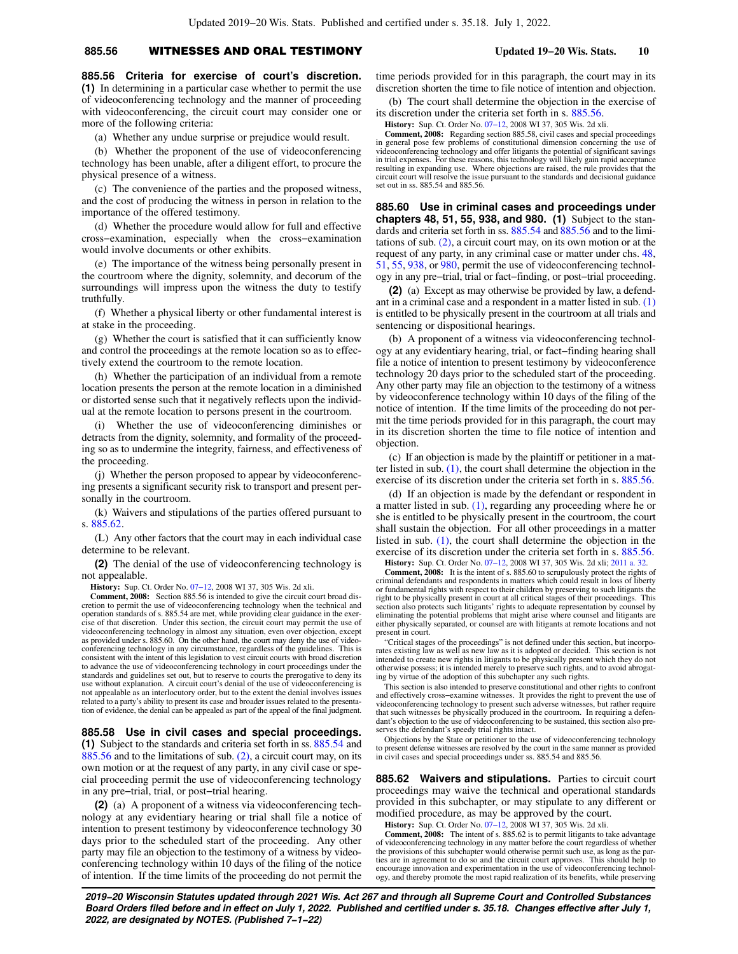# **885.56** WITNESSES AND ORAL TESTIMONY **Updated 19−20 Wis. Stats. 10**

**885.56 Criteria for exercise of court's discretion. (1)** In determining in a particular case whether to permit the use of videoconferencing technology and the manner of proceeding with videoconferencing, the circuit court may consider one or more of the following criteria:

(a) Whether any undue surprise or prejudice would result.

(b) Whether the proponent of the use of videoconferencing technology has been unable, after a diligent effort, to procure the physical presence of a witness.

(c) The convenience of the parties and the proposed witness, and the cost of producing the witness in person in relation to the importance of the offered testimony.

(d) Whether the procedure would allow for full and effective cross−examination, especially when the cross−examination would involve documents or other exhibits.

(e) The importance of the witness being personally present in the courtroom where the dignity, solemnity, and decorum of the surroundings will impress upon the witness the duty to testify truthfully.

(f) Whether a physical liberty or other fundamental interest is at stake in the proceeding.

(g) Whether the court is satisfied that it can sufficiently know and control the proceedings at the remote location so as to effectively extend the courtroom to the remote location.

(h) Whether the participation of an individual from a remote location presents the person at the remote location in a diminished or distorted sense such that it negatively reflects upon the individual at the remote location to persons present in the courtroom.

(i) Whether the use of videoconferencing diminishes or detracts from the dignity, solemnity, and formality of the proceeding so as to undermine the integrity, fairness, and effectiveness of the proceeding.

(j) Whether the person proposed to appear by videoconferencing presents a significant security risk to transport and present personally in the courtroom.

(k) Waivers and stipulations of the parties offered pursuant to s. [885.62.](https://docs.legis.wisconsin.gov/document/statutes/885.62)

(L) Any other factors that the court may in each individual case determine to be relevant.

**(2)** The denial of the use of videoconferencing technology is not appealable.

**History:** Sup. Ct. Order No. [07−12,](https://docs.legis.wisconsin.gov/document/sco/07-12) 2008 WI 37, 305 Wis. 2d xli.

**Comment, 2008:** Section 885.56 is intended to give the circuit court broad discretion to permit the use of videoconferencing technology when the technical and operation standards of s. 885.54 are met, while providing clear guidance in the exercise of that discretion. Under this section, the circuit court may permit the use of videoconferencing technology in almost any situation, even over objection, except as provided under s. 885.60. On the other hand, the court may deny the use of videoconferencing technology in any circumstance, regardless of the guidelines. This is consistent with the intent of this legislation to vest circuit courts with broad discretion to advance the use of videoconferencing technology in court proceedings under the standards and guidelines set out, but to reserve to courts the prerogative to deny its use without explanation. A circuit court's denial of the use of videoconferencing is not appealable as an interlocutory order, but to the extent the denial involves issues related to a party's ability to present its case and broader issues related to the presentation of evidence, the denial can be appealed as part of the appeal of the final judgment.

**885.58 Use in civil cases and special proceedings. (1)** Subject to the standards and criteria set forth in ss. [885.54](https://docs.legis.wisconsin.gov/document/statutes/885.54) and [885.56](https://docs.legis.wisconsin.gov/document/statutes/885.56) and to the limitations of sub. [\(2\)](https://docs.legis.wisconsin.gov/document/statutes/885.58(2)), a circuit court may, on its own motion or at the request of any party, in any civil case or special proceeding permit the use of videoconferencing technology in any pre−trial, trial, or post−trial hearing.

**(2)** (a) A proponent of a witness via videoconferencing technology at any evidentiary hearing or trial shall file a notice of intention to present testimony by videoconference technology 30 days prior to the scheduled start of the proceeding. Any other party may file an objection to the testimony of a witness by videoconferencing technology within 10 days of the filing of the notice of intention. If the time limits of the proceeding do not permit the time periods provided for in this paragraph, the court may in its discretion shorten the time to file notice of intention and objection.

(b) The court shall determine the objection in the exercise of its discretion under the criteria set forth in s. [885.56](https://docs.legis.wisconsin.gov/document/statutes/885.56).

**History:** Sup. Ct. Order No. [07−12,](https://docs.legis.wisconsin.gov/document/sco/07-12) 2008 WI 37, 305 Wis. 2d xli.

**Comment, 2008:** Regarding section 885.58, civil cases and special proceedings in general pose few problems of constitutional dimension concerning the use of videoconferencing technology and offer litigants the potential of significant savings in trial expenses. For these reasons, this technology will likely gain rapid acceptance resulting in expanding use. Where objections are raised, the rule provides that the circuit court will resolve the issue pursuant to the standards and decisional guidance set out in ss. 885.54 and 885.56.

**885.60 Use in criminal cases and proceedings under chapters 48, 51, 55, 938, and 980. (1)** Subject to the standards and criteria set forth in ss. [885.54](https://docs.legis.wisconsin.gov/document/statutes/885.54) and [885.56](https://docs.legis.wisconsin.gov/document/statutes/885.56) and to the limitations of sub. [\(2\),](https://docs.legis.wisconsin.gov/document/statutes/885.60(2)) a circuit court may, on its own motion or at the request of any party, in any criminal case or matter under chs. [48,](https://docs.legis.wisconsin.gov/document/statutes/ch.%2048) [51](https://docs.legis.wisconsin.gov/document/statutes/ch.%2051), [55](https://docs.legis.wisconsin.gov/document/statutes/ch.%2055), [938](https://docs.legis.wisconsin.gov/document/statutes/ch.%20938), or [980](https://docs.legis.wisconsin.gov/document/statutes/ch.%20980), permit the use of videoconferencing technology in any pre−trial, trial or fact−finding, or post−trial proceeding.

**(2)** (a) Except as may otherwise be provided by law, a defendant in a criminal case and a respondent in a matter listed in sub. [\(1\)](https://docs.legis.wisconsin.gov/document/statutes/885.60(1)) is entitled to be physically present in the courtroom at all trials and sentencing or dispositional hearings.

(b) A proponent of a witness via videoconferencing technology at any evidentiary hearing, trial, or fact−finding hearing shall file a notice of intention to present testimony by videoconference technology 20 days prior to the scheduled start of the proceeding. Any other party may file an objection to the testimony of a witness by videoconference technology within 10 days of the filing of the notice of intention. If the time limits of the proceeding do not permit the time periods provided for in this paragraph, the court may in its discretion shorten the time to file notice of intention and objection.

(c) If an objection is made by the plaintiff or petitioner in a matter listed in sub. [\(1\)](https://docs.legis.wisconsin.gov/document/statutes/885.60(1)), the court shall determine the objection in the exercise of its discretion under the criteria set forth in s. [885.56.](https://docs.legis.wisconsin.gov/document/statutes/885.56)

(d) If an objection is made by the defendant or respondent in a matter listed in sub. [\(1\)](https://docs.legis.wisconsin.gov/document/statutes/885.60(1)), regarding any proceeding where he or she is entitled to be physically present in the courtroom, the court shall sustain the objection. For all other proceedings in a matter listed in sub. [\(1\),](https://docs.legis.wisconsin.gov/document/statutes/885.60(1)) the court shall determine the objection in the exercise of its discretion under the criteria set forth in s. [885.56.](https://docs.legis.wisconsin.gov/document/statutes/885.56) **History:** Sup. Ct. Order No. [07−12,](https://docs.legis.wisconsin.gov/document/sco/07-12) 2008 WI 37, 305 Wis. 2d xli; [2011 a. 32](https://docs.legis.wisconsin.gov/document/acts/2011/32).

**Comment, 2008:** It is the intent of s. 885.60 to scrupulously protect the rights of criminal defendants and respondents in matters which could result in loss of liberty or fundamental rights with respect to their children by preserving to such litigants the right to be physically present in court at all critical stages of their proceedings. This section also protects such litigants' rights to adequate representation by counsel by eliminating the potential problems that might arise where counsel and litigants are either physically separated, or counsel are with litigants at remote locations and not present in court.

"Critical stages of the proceedings" is not defined under this section, but incorporates existing law as well as new law as it is adopted or decided. This section is not intended to create new rights in litigants to be physically present which they do not otherwise possess; it is intended merely to preserve such rights, and to avoid abrogating by virtue of the adoption of this subchapter any such rights.

This section is also intended to preserve constitutional and other rights to confront and effectively cross−examine witnesses. It provides the right to prevent the use of videoconferencing technology to present such adverse witnesses, but rather require that such witnesses be physically produced in the courtroom. In requiring a defen-dant's objection to the use of videoconferencing to be sustained, this section also preserves the defendant's speedy trial rights intact.

Objections by the State or petitioner to the use of videoconferencing technology to present defense witnesses are resolved by the court in the same manner as provided in civil cases and special proceedings under ss. 885.54 and 885.56.

**885.62 Waivers and stipulations.** Parties to circuit court proceedings may waive the technical and operational standards provided in this subchapter, or may stipulate to any different or modified procedure, as may be approved by the court.

**History:** Sup. Ct. Order No. [07−12,](https://docs.legis.wisconsin.gov/document/sco/07-12) 2008 WI 37, 305 Wis. 2d xli.

**Comment, 2008:** The intent of s. 885.62 is to permit litigants to take advantage of videoconferencing technology in any matter before the court regardless of whether the provisions of this subchapter would otherwise permit such use, as long as the parties are in agreement to do so and the circuit court approves. This should help to encourage innovation and experimentation in the use of videoconferencing technology, and thereby promote the most rapid realization of its benefits, while preserving